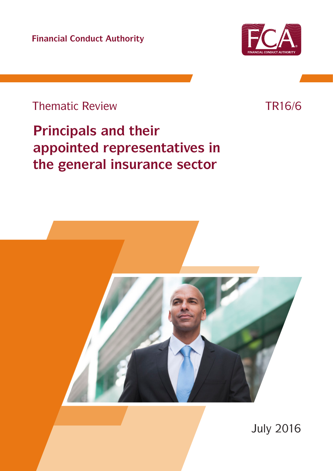**Financial Conduct Authority**



## Thematic Review

# **Principals and their appointed representatives in the general insurance sector**

July 2016

## TR16/6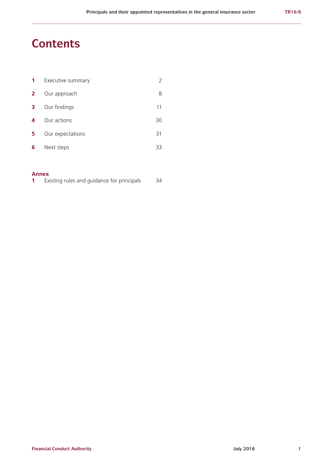## **Contents**

| 1            | Executive summary |    |
|--------------|-------------------|----|
| $\mathbf{2}$ | Our approach      | 8  |
| 3            | Our findings      | 11 |
| 4            | Our actions       | 30 |
| 5            | Our expectations  | 31 |
| 6            | Next steps        | 33 |

## **Annex**

|  |  |  |  |  | Existing rules and guidance for principals | 34 |
|--|--|--|--|--|--------------------------------------------|----|
|--|--|--|--|--|--------------------------------------------|----|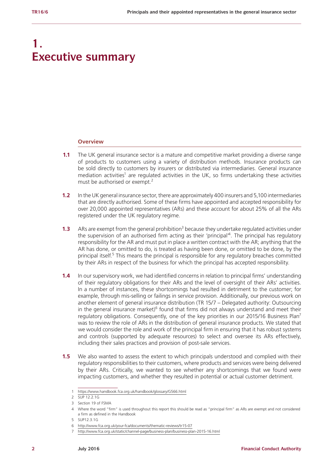## **1. Executive summary**

#### **Overview**

- **1.1** The UK general insurance sector is a mature and competitive market providing a diverse range of products to customers using a variety of distribution methods. Insurance products can be sold directly to customers by insurers or distributed via intermediaries. General insurance mediation activities<sup>1</sup> are regulated activities in the UK, so firms undertaking these activities must be authorised or exempt.<sup>2</sup>
- **1.2** In the UK general insurance sector, there are approximately 400 insurers and 5,100 intermediaries that are directly authorised. Some of these firms have appointed and accepted responsibility for over 20,000 appointed representatives (ARs) and these account for about 25% of all the ARs registered under the UK regulatory regime.
- **1.3** ARs are exempt from the general prohibition<sup>3</sup> because they undertake regulated activities under the supervision of an authorised firm acting as their 'principal<sup>14</sup>. The principal has regulatory responsibility for the AR and must put in place a written contract with the AR; anything that the AR has done, or omitted to do, is treated as having been done, or omitted to be done, by the principal itself.<sup>5</sup> This means the principal is responsible for any regulatory breaches committed by their ARs in respect of the business for which the principal has accepted responsibility.
- **1.4** In our supervisory work, we had identified concerns in relation to principal firms' understanding of their regulatory obligations for their ARs and the level of oversight of their ARs' activities. In a number of instances, these shortcomings had resulted in detriment to the customer; for example, through mis-selling or failings in service provision. Additionally, our previous work on another element of general insurance distribution (TR 15/7 – Delegated authority: Outsourcing in the general insurance market) $6$  found that firms did not always understand and meet their regulatory obligations. Consequently, one of the key priorities in our 2015/16 Business Plan<sup>7</sup> was to review the role of ARs in the distribution of general insurance products. We stated that we would consider the role and work of the principal firm in ensuring that it has robust systems and controls (supported by adequate resources) to select and oversee its ARs effectively, including their sales practices and provision of post-sale services.
- **1.5** We also wanted to assess the extent to which principals understood and complied with their regulatory responsibilities to their customers, where products and services were being delivered by their ARs. Critically, we wanted to see whether any shortcomings that we found were impacting customers, and whether they resulted in potential or actual customer detriment.

6 <http://www.fca.org.uk/your-fca/documents/thematic-reviews/tr15-07>

<sup>1</sup> <https://www.handbook.fca.org.uk/handbook/glossary/G566.html>

<sup>2</sup> SUP 12.2.1G

<sup>3</sup> Section 19 of FSMA

<sup>4</sup> Where the word "firm" is used throughout this report this should be read as "principal firm" as ARs are exempt and not considered a firm as defined in the Handbook

<sup>5</sup> SUP12.3.1G

<sup>7</sup> <http://www.fca.org.uk/static/channel-page/business-plan/business-plan-2015-16.html>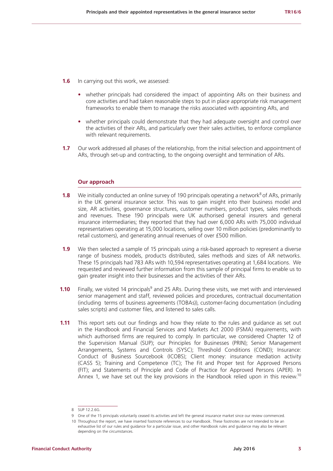- **1.6** In carrying out this work, we assessed:
	- **•** whether principals had considered the impact of appointing ARs on their business and core activities and had taken reasonable steps to put in place appropriate risk management frameworks to enable them to manage the risks associated with appointing ARs, and
	- **•** whether principals could demonstrate that they had adequate oversight and control over the activities of their ARs, and particularly over their sales activities, to enforce compliance with relevant requirements.
- **1.7** Our work addressed all phases of the relationship, from the initial selection and appointment of ARs, through set-up and contracting, to the ongoing oversight and termination of ARs.

## **Our approach**

- **1.8** We initially conducted an online survey of 190 principals operating a network<sup>8</sup> of ARs, primarily in the UK general insurance sector. This was to gain insight into their business model and size, AR activities, governance structures, customer numbers, product types, sales methods and revenues. These 190 principals were UK authorised general insurers and general insurance intermediaries; they reported that they had over 6,000 ARs with 75,000 individual representatives operating at 15,000 locations, selling over 10 million policies (predominantly to retail customers), and generating annual revenues of over £500 million.
- **1.9** We then selected a sample of 15 principals using a risk-based approach to represent a diverse range of business models, products distributed, sales methods and sizes of AR networks. These 15 principals had 783 ARs with 10,594 representatives operating at 1,684 locations. We requested and reviewed further information from this sample of principal firms to enable us to gain greater insight into their businesses and the activities of their ARs.
- **1.10** Finally, we visited 14 principals<sup>9</sup> and 25 ARs. During these visits, we met with and interviewed senior management and staff, reviewed policies and procedures, contractual documentation (including terms of business agreements (TOBAs)), customer-facing documentation (including sales scripts) and customer files, and listened to sales calls.
- **1.11** This report sets out our findings and how they relate to the rules and guidance as set out in the Handbook and Financial Services and Markets Act 2000 (FSMA) requirements, with which authorised firms are required to comply. In particular, we considered Chapter 12 of the Supervision Manual (SUP); our Principles for Businesses (PRIN); Senior Management Arrangements, Systems and Controls (SYSC); Threshold Conditions (COND); Insurance: Conduct of Business Sourcebook (ICOBS); Client money: insurance mediation activity (CASS 5); Training and Competence (TC); The Fit and Proper test for Approved Persons (FIT); and Statements of Principle and Code of Practice for Approved Persons (APER). In Annex 1, we have set out the key provisions in the Handbook relied upon in this review.<sup>10</sup>

<sup>8</sup> SUP 12.2.6G.

<sup>9</sup> One of the 15 principals voluntarily ceased its activities and left the general insurance market since our review commenced.

<sup>10</sup> Throughout the report, we have inserted footnote references to our Handbook. These footnotes are not intended to be an exhaustive list of our rules and guidance for a particular issue, and other Handbook rules and guidance may also be relevant depending on the circumstances.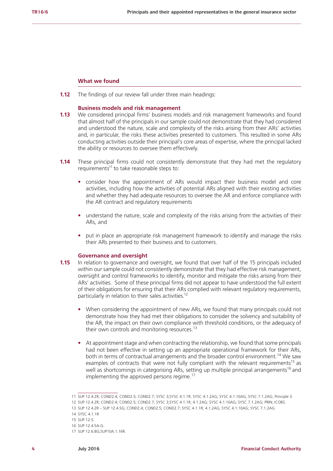#### **What we found**

**1.12** The findings of our review fall under three main headings:

#### **Business models and risk management**

- **1.13** We considered principal firms' business models and risk management frameworks and found that almost half of the principals in our sample could not demonstrate that they had considered and understood the nature, scale and complexity of the risks arising from their ARs' activities and, in particular, the risks these activities presented to customers. This resulted in some ARs conducting activities outside their principal's core areas of expertise, where the principal lacked the ability or resources to oversee them effectively.
- **1.14** These principal firms could not consistently demonstrate that they had met the regulatory requirements<sup>11</sup> to take reasonable steps to:
	- **•** consider how the appointment of ARs would impact their business model and core activities, including how the activities of potential ARs aligned with their existing activities and whether they had adequate resources to oversee the AR and enforce compliance with the AR contract and regulatory requirements
	- understand the nature, scale and complexity of the risks arising from the activities of their ARs, and
	- **•** put in place an appropriate risk management framework to identify and manage the risks their ARs presented to their business and to customers.

#### **Governance and oversight**

- **1.15** In relation to governance and oversight, we found that over half of the 15 principals included within our sample could not consistently demonstrate that they had effective risk management, oversight and control frameworks to identify, monitor and mitigate the risks arising from their ARs' activities. Some of these principal firms did not appear to have understood the full extent of their obligations for ensuring that their ARs complied with relevant regulatory requirements, particularly in relation to their sales activities.<sup>12</sup>
	- **•** When considering the appointment of new ARs, we found that many principals could not demonstrate how they had met their obligations to consider the solvency and suitability of the AR, the impact on their own compliance with threshold conditions, or the adequacy of their own controls and monitoring resources.<sup>13</sup>
	- **•** At appointment stage and when contracting the relationship, we found that some principals had not been effective in setting up an appropriate operational framework for their ARs, both in terms of contractual arrangements and the broader control environment.<sup>14</sup> We saw examples of contracts that were not fully compliant with the relevant requirements<sup>15</sup> as well as shortcomings in categorising ARs, setting up multiple principal arrangements<sup>16</sup> and implementing the approved persons regime.<sup>17</sup>

<sup>11</sup> SUP 12.4.2R; COND2.4; COND2.5; COND2.7; SYSC 3;SYSC 4.1.1R; SYSC 4.1.2AG; SYSC 4.1.10AG; SYSC 7.1.2AG; Principle 3.

<sup>12</sup> SUP 12.4.2R; COND2.4; COND2.5; COND2.7; SYSC 3;SYSC 4.1.1R; 4.1.2AG; SYSC 4.1.10AG; SYSC 7.1.2AG; PRIN; ICOBS.

<sup>13</sup> SUP 12.4.2R – SUP 12.4.5G; COND2.4; COND2.5; COND2.7; SYSC 4.1.1R; 4.1.2AG; SYSC 4.1.10AG; SYSC 7.1.2AG

<sup>14</sup> SYSC 4.1.1R

<sup>15</sup> SUP 12.5.

<sup>16</sup> SUP 12.4.5A-G.

<sup>17</sup> SUP 12.6.8G;SUP10A.1.16R.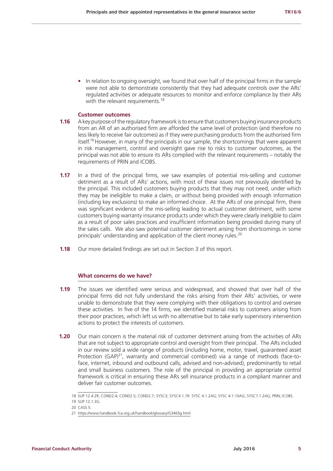**•** In relation to ongoing oversight, we found that over half of the principal firms in the sample were not able to demonstrate consistently that they had adequate controls over the ARs' regulated activities or adequate resources to monitor and enforce compliance by their ARs with the relevant requirements.<sup>18</sup>

## **Customer outcomes**

- **1.16** A key purpose of the regulatory framework is to ensure that customers buying insurance products from an AR of an authorised firm are afforded the same level of protection (and therefore no less likely to receive fair outcomes) as if they were purchasing products from the authorised firm itself.19 However, in many of the principals in our sample, the shortcomings that were apparent in risk management, control and oversight gave rise to risks to customer outcomes, as the principal was not able to ensure its ARs complied with the relevant requirements – notably the requirements of PRIN and ICOBS.
- **1.17** In a third of the principal firms, we saw examples of potential mis-selling and customer detriment as a result of ARs' actions, with most of these issues not previously identified by the principal. This included customers buying products that they may not need, under which they may be ineligible to make a claim, or without being provided with enough information (including key exclusions) to make an informed choice. At the ARs of one principal firm, there was significant evidence of the mis-selling leading to actual customer detriment, with some customers buying warranty insurance products under which they were clearly ineligible to claim as a result of poor sales practices and insufficient information being provided during many of the sales calls. We also saw potential customer detriment arising from shortcomings in some principals' understanding and application of the client money rules.<sup>20</sup>
- **1.18** Our more detailed findings are set out in Section 3 of this report.

## **What concerns do we have?**

- **1.19** The issues we identified were serious and widespread, and showed that over half of the principal firms did not fully understand the risks arising from their ARs' activities, or were unable to demonstrate that they were complying with their obligations to control and oversee these activities. In five of the 14 firms, we identified material risks to customers arising from their poor practices, which left us with no alternative but to take early supervisory intervention actions to protect the interests of customers.
- **1.20** Our main concern is the material risk of customer detriment arising from the activities of ARs that are not subject to appropriate control and oversight from their principal. The ARs included in our review sold a wide range of products (including home, motor, travel, guaranteed asset Protection  $(GAP)^{21}$ , warranty and commercial combined) via a range of methods (face-toface, internet, inbound and outbound calls, advised and non-advised), predominantly to retail and small business customers. The role of the principal in providing an appropriate control framework is critical in ensuring these ARs sell insurance products in a compliant manner and deliver fair customer outcomes.

<sup>18</sup> SUP 12.4.2R; COND2.4; COND2.5; COND2.7; SYSC3; SYSC4.1.1R: SYSC 4.1.2AG; SYSC 4.1.10AG; SYSC7.1.2AG; PRIN; ICOBS.

<sup>19</sup> SUP 12.1.3G.

<sup>20</sup> CASS 5.

<sup>21</sup> <https://www.handbook.fca.org.uk/handbook/glossary/G3465g.html>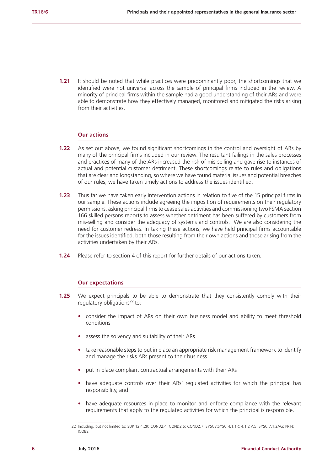**1.21** It should be noted that while practices were predominantly poor, the shortcomings that we identified were not universal across the sample of principal firms included in the review. A minority of principal firms within the sample had a good understanding of their ARs and were able to demonstrate how they effectively managed, monitored and mitigated the risks arising from their activities.

#### **Our actions**

- **1.22** As set out above, we found significant shortcomings in the control and oversight of ARs by many of the principal firms included in our review. The resultant failings in the sales processes and practices of many of the ARs increased the risk of mis-selling and gave rise to instances of actual and potential customer detriment. These shortcomings relate to rules and obligations that are clear and longstanding, so where we have found material issues and potential breaches of our rules, we have taken timely actions to address the issues identified.
- **1.23** Thus far we have taken early intervention actions in relation to five of the 15 principal firms in our sample. These actions include agreeing the imposition of requirements on their regulatory permissions, asking principal firms to cease sales activities and commissioning two FSMA section 166 skilled persons reports to assess whether detriment has been suffered by customers from mis-selling and consider the adequacy of systems and controls. We are also considering the need for customer redress. In taking these actions, we have held principal firms accountable for the issues identified, both those resulting from their own actions and those arising from the activities undertaken by their ARs.
- **1.24** Please refer to section 4 of this report for further details of our actions taken.

#### **Our expectations**

- **1.25** We expect principals to be able to demonstrate that they consistently comply with their regulatory obligations $^{22}$  to:
	- **•** consider the impact of ARs on their own business model and ability to meet threshold conditions
	- **•** assess the solvency and suitability of their ARs
	- **•** take reasonable steps to put in place an appropriate risk management framework to identify and manage the risks ARs present to their business
	- **•** put in place compliant contractual arrangements with their ARs
	- **•** have adequate controls over their ARs' regulated activities for which the principal has responsibility, and
	- **•** have adequate resources in place to monitor and enforce compliance with the relevant requirements that apply to the regulated activities for which the principal is responsible.

<sup>22</sup> Including, but not limited to: SUP 12.4.2R; COND2.4; COND2.5; COND2.7; SYSC3;SYSC 4.1.1R; 4.1.2 AG; SYSC 7.1.2AG; PRIN; ICOBS;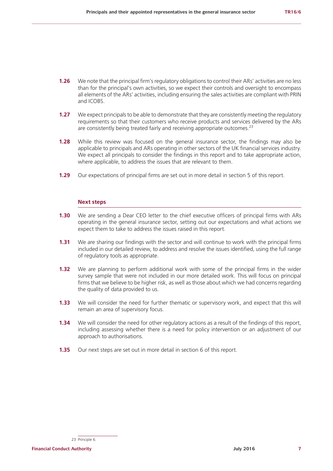- **1.26** We note that the principal firm's regulatory obligations to control their ARs' activities are no less than for the principal's own activities, so we expect their controls and oversight to encompass all elements of the ARs' activities, including ensuring the sales activities are compliant with PRIN and ICOBS.
- **1.27** We expect principals to be able to demonstrate that they are consistently meeting the regulatory requirements so that their customers who receive products and services delivered by the ARs are consistently being treated fairly and receiving appropriate outcomes.<sup>23</sup>
- **1.28** While this review was focused on the general insurance sector, the findings may also be applicable to principals and ARs operating in other sectors of the UK financial services industry. We expect all principals to consider the findings in this report and to take appropriate action, where applicable, to address the issues that are relevant to them.
- **1.29** Our expectations of principal firms are set out in more detail in section 5 of this report.

## **Next steps**

- **1.30** We are sending a Dear CEO letter to the chief executive officers of principal firms with ARs operating in the general insurance sector, setting out our expectations and what actions we expect them to take to address the issues raised in this report.
- **1.31** We are sharing our findings with the sector and will continue to work with the principal firms included in our detailed review, to address and resolve the issues identified, using the full range of regulatory tools as appropriate.
- **1.32** We are planning to perform additional work with some of the principal firms in the wider survey sample that were not included in our more detailed work. This will focus on principal firms that we believe to be higher risk, as well as those about which we had concerns regarding the quality of data provided to us.
- **1.33** We will consider the need for further thematic or supervisory work, and expect that this will remain an area of supervisory focus.
- **1.34** We will consider the need for other regulatory actions as a result of the findings of this report, including assessing whether there is a need for policy intervention or an adjustment of our approach to authorisations.
- **1.35** Our next steps are set out in more detail in section 6 of this report.

**Financial Conduct Authority July 2016 7**

<sup>23</sup> Principle 6.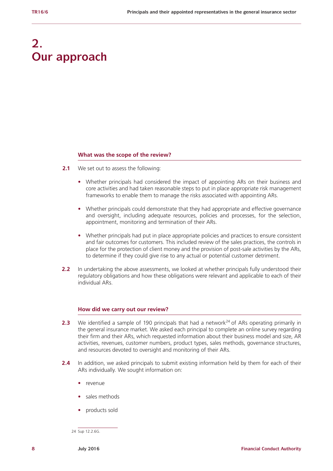## **2. Our approach**

## **What was the scope of the review?**

- **2.1** We set out to assess the following:
	- **•** Whether principals had considered the impact of appointing ARs on their business and core activities and had taken reasonable steps to put in place appropriate risk management frameworks to enable them to manage the risks associated with appointing ARs.
	- **•** Whether principals could demonstrate that they had appropriate and effective governance and oversight, including adequate resources, policies and processes, for the selection, appointment, monitoring and termination of their ARs.
	- **•** Whether principals had put in place appropriate policies and practices to ensure consistent and fair outcomes for customers. This included review of the sales practices, the controls in place for the protection of client money and the provision of post-sale activities by the ARs, to determine if they could give rise to any actual or potential customer detriment.
- **2.2** In undertaking the above assessments, we looked at whether principals fully understood their regulatory obligations and how these obligations were relevant and applicable to each of their individual ARs.

### **How did we carry out our review?**

- **2.3** We identified a sample of 190 principals that had a network<sup>24</sup> of ARs operating primarily in the general insurance market. We asked each principal to complete an online survey regarding their firm and their ARs, which requested information about their business model and size, AR activities, revenues, customer numbers, product types, sales methods, governance structures, and resources devoted to oversight and monitoring of their ARs.
- **2.4** In addition, we asked principals to submit existing information held by them for each of their ARs individually. We sought information on:
	- **•** revenue
	- **•** sales methods
	- **•** products sold

<sup>24</sup> Sup 12.2.6G.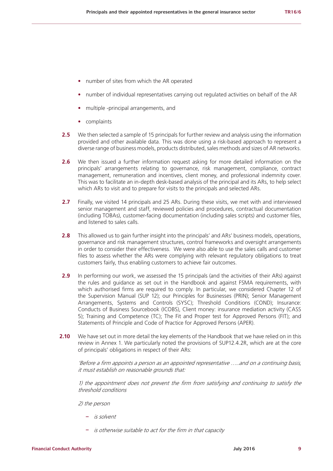- **•** number of sites from which the AR operated
- **•** number of individual representatives carrying out regulated activities on behalf of the AR
- **•** multiple -principal arrangements, and
- **•** complaints
- **2.5** We then selected a sample of 15 principals for further review and analysis using the information provided and other available data. This was done using a risk-based approach to represent a diverse range of business models, products distributed, sales methods and sizes of AR networks.
- **2.6** We then issued a further information request asking for more detailed information on the principals' arrangements relating to governance, risk management, compliance, contract management, remuneration and incentives, client money, and professional indemnity cover. This was to facilitate an in-depth desk-based analysis of the principal and its ARs, to help select which ARs to visit and to prepare for visits to the principals and selected ARs.
- 2.7 Finally, we visited 14 principals and 25 ARs. During these visits, we met with and interviewed senior management and staff, reviewed policies and procedures, contractual documentation (including TOBAs), customer-facing documentation (including sales scripts) and customer files, and listened to sales calls.
- **2.8** This allowed us to gain further insight into the principals' and ARs' business models, operations, governance and risk management structures, control frameworks and oversight arrangements in order to consider their effectiveness. We were also able to use the sales calls and customer files to assess whether the ARs were complying with relevant regulatory obligations to treat customers fairly, thus enabling customers to achieve fair outcomes.
- **2.9** In performing our work, we assessed the 15 principals (and the activities of their ARs) against the rules and guidance as set out in the Handbook and against FSMA requirements, with which authorised firms are required to comply. In particular, we considered Chapter 12 of the Supervision Manual (SUP 12); our Principles for Businesses (PRIN); Senior Management Arrangements, Systems and Controls (SYSC); Threshold Conditions (COND); Insurance: Conducts of Business Sourcebook (ICOBS), Client money: insurance mediation activity (CASS 5); Training and Competence (TC); The Fit and Proper test for Approved Persons (FIT); and Statements of Principle and Code of Practice for Approved Persons (APER).
- **2.10** We have set out in more detail the key elements of the Handbook that we have relied on in this review in Annex 1. We particularly noted the provisions of SUP12.4.2R, which are at the core of principals' obligations in respect of their ARs:

'Before a firm appoints a [person](https://www.handbook.fca.org.uk/handbook/glossary/G869.html) as an [appointed representative](https://www.handbook.fca.org.uk/handbook/glossary/G1659.html) …..and on a continuing basis, it must establish on reasonable grounds that:

1) the appointment does not prevent the [firm](https://www.handbook.fca.org.uk/handbook/glossary/G430.html) from satisfying and continuing to satisfy the [threshold conditions](https://www.handbook.fca.org.uk/handbook/glossary/G1173.html)

2) the [person](https://www.handbook.fca.org.uk/handbook/glossary/G869.html)

- **–** is solvent
- **–** is otherwise suitable to act for the [firm](https://www.handbook.fca.org.uk/handbook/glossary/G430.html) in that capacity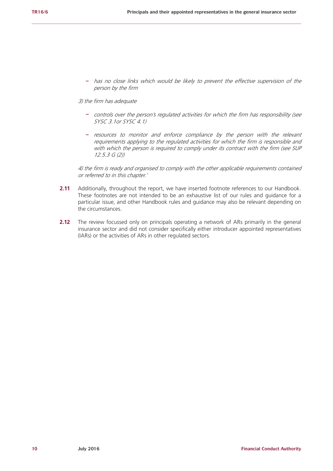**–** has no [close links](https://www.handbook.fca.org.uk/handbook/glossary/G164.html) which would be likely to prevent the effective supervision of the [person](https://www.handbook.fca.org.uk/handbook/glossary/G869.html) by the [firm](https://www.handbook.fca.org.uk/handbook/glossary/G430.html)

## 3) the [firm](https://www.handbook.fca.org.uk/handbook/glossary/G430.html) has adequate

- **–** controls over the [person's](https://www.handbook.fca.org.uk/handbook/glossary/G869.html) [regulated activities](https://www.handbook.fca.org.uk/handbook/glossary/G974.html) for which the [firm](https://www.handbook.fca.org.uk/handbook/glossary/G430.html) has responsibility (see SYSC 3.1or SYSC 4.1)
- **–** resources to monitor and enforce compliance by the [person](https://www.handbook.fca.org.uk/handbook/glossary/G869.html) with the relevant requirements applying to the [regulated activities](https://www.handbook.fca.org.uk/handbook/glossary/G974.html) for which the [firm](https://www.handbook.fca.org.uk/handbook/glossary/G430.html) is responsible and with which the [person](https://www.handbook.fca.org.uk/handbook/glossary/G869.html) is required to comply under its contract with the [firm](https://www.handbook.fca.org.uk/handbook/glossary/G430.html) (see SUP 12.5.3 G (2))

4) the [firm](https://www.handbook.fca.org.uk/handbook/glossary/G430.html) is ready and organised to comply with the other applicable requirements contained or referred to in this chapter.'

- **2.11** Additionally, throughout the report, we have inserted footnote references to our Handbook. These footnotes are not intended to be an exhaustive list of our rules and guidance for a particular issue, and other Handbook rules and guidance may also be relevant depending on the circumstances.
- **2.12** The review focussed only on principals operating a network of ARs primarily in the general insurance sector and did not consider specifically either introducer appointed representatives (IARs) or the activities of ARs in other regulated sectors.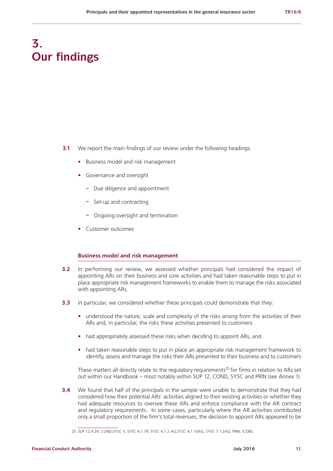## **3. Our findings**

- **3.1** We report the main findings of our review under the following headings:
	- **•** Business model and risk management
	- **•** Governance and oversight
		- **–** Due diligence and appointment
		- **–** Set-up and contracting
		- **–** Ongoing oversight and termination
	- **•** Customer outcomes

## **Business model and risk management**

- **3.2** In performing our review, we assessed whether principals had considered the impact of appointing ARs on their business and core activities and had taken reasonable steps to put in place appropriate risk management frameworks to enable them to manage the risks associated with appointing ARs.
- **3.3** In particular, we considered whether these principals could demonstrate that they:
	- understood the nature, scale and complexity of the risks arising from the activities of their ARs and, in particular, the risks these activities presented to customers
	- **•** had appropriately assessed these risks when deciding to appoint ARs, and
	- **•** had taken reasonable steps to put in place an appropriate risk management framework to identify, assess and manage the risks their ARs presented to their business and to customers

These matters all directly relate to the regulatory requirements<sup>25</sup> for firms in relation to ARs set out within our Handbook – most notably within SUP 12, COND, SYSC and PRIN (see Annex 1).

**3.4** We found that half of the principals in the sample were unable to demonstrate that they had considered how their potential ARs' activities aligned to their existing activities or whether they had adequate resources to oversee these ARs and enforce compliance with the AR contract and regulatory requirements. In some cases, particularly where the AR activities contributed only a small proportion of the firm's total revenues, the decision to appoint ARs appeared to be

<sup>25</sup> SUP 12.4.2R; COND;SYSC 3; SYSC 4.1.1R; SYSC 4.1.2 AG;SYSC 4.1.10AG; SYSC 7.1.2AG; PRIN; ICOBS.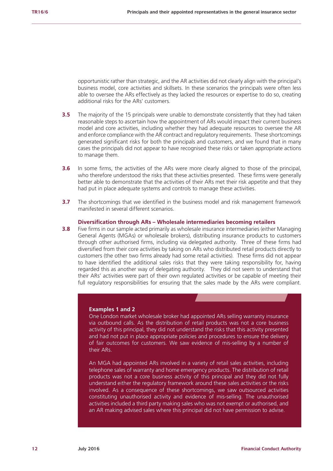opportunistic rather than strategic, and the AR activities did not clearly align with the principal's business model, core activities and skillsets. In these scenarios the principals were often less able to oversee the ARs effectively as they lacked the resources or expertise to do so, creating additional risks for the ARs' customers.

- **3.5** The majority of the 15 principals were unable to demonstrate consistently that they had taken reasonable steps to ascertain how the appointment of ARs would impact their current business model and core activities, including whether they had adequate resources to oversee the AR and enforce compliance with the AR contract and regulatory requirements. These shortcomings generated significant risks for both the principals and customers, and we found that in many cases the principals did not appear to have recognised these risks or taken appropriate actions to manage them.
- **3.6** In some firms, the activities of the ARs were more clearly aligned to those of the principal, who therefore understood the risks that these activities presented. These firms were generally better able to demonstrate that the activities of their ARs met their risk appetite and that they had put in place adequate systems and controls to manage these activities.
- **3.7** The shortcomings that we identified in the business model and risk management framework manifested in several different scenarios.

#### **Diversification through ARs – Wholesale intermediaries becoming retailers**

**3.8** Five firms in our sample acted primarily as wholesale insurance intermediaries (either Managing General Agents (MGAs) or wholesale brokers), distributing insurance products to customers through other authorised firms, including via delegated authority. Three of these firms had diversified from their core activities by taking on ARs who distributed retail products directly to customers (the other two firms already had some retail activities). These firms did not appear to have identified the additional sales risks that they were taking responsibility for, having regarded this as another way of delegating authority. They did not seem to understand that their ARs' activities were part of their own regulated activities or be capable of meeting their full regulatory responsibilities for ensuring that the sales made by the ARs were compliant.

### **Examples 1 and 2**

One London market wholesale broker had appointed ARs selling warranty insurance via outbound calls. As the distribution of retail products was not a core business activity of this principal, they did not understand the risks that this activity presented and had not put in place appropriate policies and procedures to ensure the delivery of fair outcomes for customers. We saw evidence of mis-selling by a number of their ARs.

An MGA had appointed ARs involved in a variety of retail sales activities, including telephone sales of warranty and home emergency products. The distribution of retail products was not a core business activity of this principal and they did not fully understand either the regulatory framework around these sales activities or the risks involved. As a consequence of these shortcomings, we saw outsourced activities constituting unauthorised activity and evidence of mis-selling. The unauthorised activities included a third party making sales who was not exempt or authorised, and an AR making advised sales where this principal did not have permission to advise.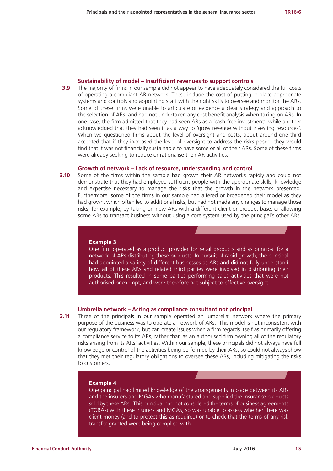#### **Sustainability of model – Insufficient revenues to support controls**

**3.9** The majority of firms in our sample did not appear to have adequately considered the full costs of operating a compliant AR network. These include the cost of putting in place appropriate systems and controls and appointing staff with the right skills to oversee and monitor the ARs. Some of these firms were unable to articulate or evidence a clear strategy and approach to the selection of ARs, and had not undertaken any cost benefit analysis when taking on ARs. In one case, the firm admitted that they had seen ARs as a 'cash-free investment', while another acknowledged that they had seen it as a way to 'grow revenue without investing resources'. When we questioned firms about the level of oversight and costs, about around one-third accepted that if they increased the level of oversight to address the risks posed, they would find that it was not financially sustainable to have some or all of their ARs. Some of these firms were already seeking to reduce or rationalise their AR activities.

## **Growth of network – Lack of resource, understanding and control**

**3.10** Some of the firms within the sample had grown their AR networks rapidly and could not demonstrate that they had employed sufficient people with the appropriate skills, knowledge and expertise necessary to manage the risks that the growth in the network presented. Furthermore, some of the firms in our sample had altered or broadened their model as they had grown, which often led to additional risks, but had not made any changes to manage those risks; for example, by taking on new ARs with a different client or product base, or allowing some ARs to transact business without using a core system used by the principal's other ARs.

#### **Example 3**

One firm operated as a product provider for retail products and as principal for a network of ARs distributing these products. In pursuit of rapid growth, the principal had appointed a variety of different businesses as ARs and did not fully understand how all of these ARs and related third parties were involved in distributing their products. This resulted in some parties performing sales activities that were not authorised or exempt, and were therefore not subject to effective oversight.

#### **Umbrella network – Acting as compliance consultant not principal**

**3.11** Three of the principals in our sample operated an 'umbrella' network where the primary purpose of the business was to operate a network of ARs. This model is not inconsistent with our regulatory framework, but can create issues when a firm regards itself as primarily offering a compliance service to its ARs, rather than as an authorised firm owning all of the regulatory risks arising from its ARs' activities. Within our sample, these principals did not always have full knowledge or control of the activities being performed by their ARs, so could not always show that they met their regulatory obligations to oversee these ARs, including mitigating the risks to customers.

#### **Example 4**

One principal had limited knowledge of the arrangements in place between its ARs and the insurers and MGAs who manufactured and supplied the insurance products sold by these ARs. This principal had not considered the terms of business agreements (TOBAs) with these insurers and MGAs, so was unable to assess whether there was client money (and to protect this as required) or to check that the terms of any risk transfer granted were being complied with.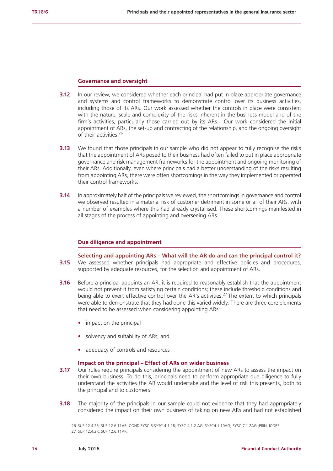#### **Governance and oversight**

- **3.12** In our review, we considered whether each principal had put in place appropriate governance and systems and control frameworks to demonstrate control over its business activities, including those of its ARs. Our work assessed whether the controls in place were consistent with the nature, scale and complexity of the risks inherent in the business model and of the firm's activities, particularly those carried out by its ARs. Our work considered the initial appointment of ARs, the set-up and contracting of the relationship, and the ongoing oversight of their activities.<sup>26</sup>
- **3.13** We found that those principals in our sample who did not appear to fully recognise the risks that the appointment of ARs posed to their business had often failed to put in place appropriate governance and risk management frameworks for the appointment and ongoing monitoring of their ARs. Additionally, even where principals had a better understanding of the risks resulting from appointing ARs, there were often shortcomings in the way they implemented or operated their control frameworks.
- **3.14** In approximately half of the principals we reviewed, the shortcomings in governance and control we observed resulted in a material risk of customer detriment in some or all of their ARs, with a number of examples where this had already crystallised. These shortcomings manifested in all stages of the process of appointing and overseeing ARs.

## **Due diligence and appointment**

- **Selecting and appointing ARs What will the AR do and can the principal control it? 3.15** We assessed whether principals had appropriate and effective policies and procedures, supported by adequate resources, for the selection and appointment of ARs.
- **3.16** Before a principal appoints an AR, it is required to reasonably establish that the appointment would not prevent it from satisfying certain conditions; these include threshold conditions and being able to exert effective control over the AR's activities.<sup>27</sup> The extent to which principals were able to demonstrate that they had done this varied widely. There are three core elements that need to be assessed when considering appointing ARs:
	- **•** impact on the principal
	- **•** solvency and suitability of ARs, and
	- **•** adequacy of controls and resources

## **Impact on the principal – Effect of ARs on wider business**

- **3.17** Our rules require principals considering the appointment of new ARs to assess the impact on their own business. To do this, principals need to perform appropriate due diligence to fully understand the activities the AR would undertake and the level of risk this presents, both to the principal and to customers.
- **3.18** The majority of the principals in our sample could not evidence that they had appropriately considered the impact on their own business of taking on new ARs and had not established

<sup>26</sup> SUP 12.4.2R; SUP 12.6.11AR; COND;SYSC 3:SYSC 4.1.1R; SYSC 4.1.2 AG; SYSC4.1.10AG; SYSC 7.1.2AG ;PRIN; ICOBS.

<sup>27</sup> SUP 12.4.2R; SUP 12.6.11AR.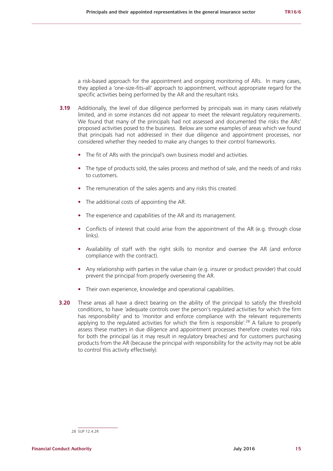a risk-based approach for the appointment and ongoing monitoring of ARs. In many cases, they applied a 'one-size-fits-all' approach to appointment, without appropriate regard for the specific activities being performed by the AR and the resultant risks.

- **3.19** Additionally, the level of due diligence performed by principals was in many cases relatively limited, and in some instances did not appear to meet the relevant regulatory requirements. We found that many of the principals had not assessed and documented the risks the ARs' proposed activities posed to the business. Below are some examples of areas which we found that principals had not addressed in their due diligence and appointment processes, nor considered whether they needed to make any changes to their control frameworks.
	- **•** The fit of ARs with the principal's own business model and activities.
	- **•** The type of products sold, the sales process and method of sale, and the needs of and risks to customers.
	- **•** The remuneration of the sales agents and any risks this created.
	- **•** The additional costs of appointing the AR.
	- **•** The experience and capabilities of the AR and its management.
	- Conflicts of interest that could arise from the appointment of the AR (e.g. through close links).
	- **•** Availability of staff with the right skills to monitor and oversee the AR (and enforce compliance with the contract).
	- Any relationship with parties in the value chain (e.g. insurer or product provider) that could prevent the principal from properly overseeing the AR.
	- **•** Their own experience, knowledge and operational capabilities.
- **3.20** These areas all have a direct bearing on the ability of the principal to satisfy the threshold conditions, to have 'adequate controls over the person's regulated activities for which the firm has responsibility' and to 'monitor and enforce compliance with the relevant requirements applying to the regulated activities for which the firm is responsible'.<sup>28</sup> A failure to properly assess these matters in due diligence and appointment processes therefore creates real risks for both the principal (as it may result in regulatory breaches) and for customers purchasing products from the AR (because the principal with responsibility for the activity may not be able to control this activity effectively).

<sup>28</sup> SUP 12.4.2R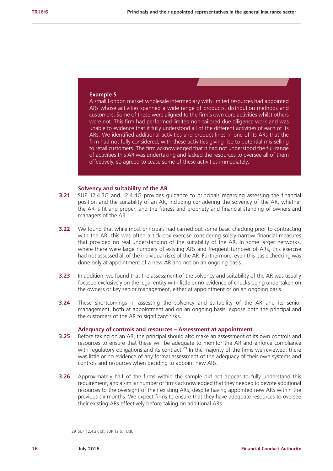## **Example 5**

A small London market wholesale intermediary with limited resources had appointed ARs whose activities spanned a wide range of products, distribution methods and customers. Some of these were aligned to the firm's own core activities whilst others were not. This firm had performed limited non-tailored due diligence work and was unable to evidence that it fully understood all of the different activities of each of its ARs. We identified additional activities and product lines in one of its ARs that the firm had not fully considered, with these activities giving rise to potential mis-selling to retail customers. The firm acknowledged that it had not understood the full range of activities this AR was undertaking and lacked the resources to oversee all of them effectively, so agreed to cease some of these activities immediately.

#### **Solvency and suitability of the AR**

- **3.21** SUP 12.4.3G and 12.4.4G provides guidance to principals regarding assessing the financial position and the suitability of an AR, including considering the solvency of the AR, whether the AR is fit and proper, and the fitness and propriety and financial standing of owners and managers of the AR.
- **3.22** We found that while most principals had carried out some basic checking prior to contracting with the AR, this was often a tick-box exercise considering solely narrow financial measures that provided no real understanding of the suitability of the AR. In some larger networks, where there were large numbers of existing ARs and frequent turnover of ARs, this exercise had not assessed all of the individual risks of the AR. Furthermore, even this basic checking was done only at appointment of a new AR and not on an ongoing basis.
- **3.23** In addition, we found that the assessment of the solvency and suitability of the AR was usually focused exclusively on the legal entity with little or no evidence of checks being undertaken on the owners or key senior management, either at appointment or on an ongoing basis.
- **3.24** These shortcomings in assessing the solvency and suitability of the AR and its senior management, both at appointment and on an ongoing basis, expose both the principal and the customers of the AR to significant risks.

### **Adequacy of controls and resources – Assessment at appointment**

- **3.25** Before taking on an AR, the principal should also make an assessment of its own controls and resources to ensure that these will be adequate to monitor the AR and enforce compliance with regulatory obligations and its contract.<sup>29</sup> In the majority of the firms we reviewed, there was little or no evidence of any formal assessment of the adequacy of their own systems and controls and resources when deciding to appoint new ARs.
- **3.26** Approximately half of the firms within the sample did not appear to fully understand this requirement, and a similar number of firms acknowledged that they needed to devote additional resources to the oversight of their existing ARs, despite having appointed new ARs within the previous six months. We expect firms to ensure that they have adequate resources to oversee their existing ARs effectively before taking on additional ARs.

<sup>29</sup> SUP 12.4.2R (3); SUP 12.6.11AR.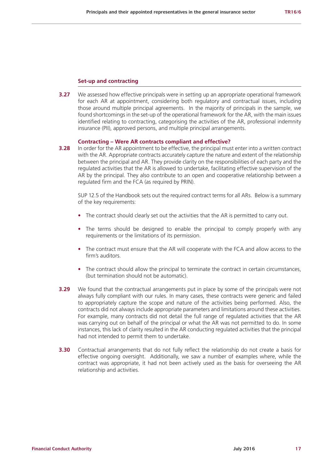#### **Set-up and contracting**

**3.27** We assessed how effective principals were in setting up an appropriate operational framework for each AR at appointment, considering both regulatory and contractual issues, including those around multiple principal agreements. In the majority of principals in the sample, we found shortcomings in the set-up of the operational framework for the AR, with the main issues identified relating to contracting, categorising the activities of the AR, professional indemnity insurance (PII), approved persons, and multiple principal arrangements.

#### **Contracting – Were AR contracts compliant and effective?**

**3.28** In order for the AR appointment to be effective, the principal must enter into a written contract with the AR. Appropriate contracts accurately capture the nature and extent of the relationship between the principal and AR. They provide clarity on the responsibilities of each party and the regulated activities that the AR is allowed to undertake, facilitating effective supervision of the AR by the principal. They also contribute to an open and cooperative relationship between a regulated firm and the FCA (as required by PRIN).

SUP 12.5 of the Handbook sets out the required contract terms for all ARs. Below is a summary of the key requirements:

- **•** The contract should clearly set out the activities that the AR is permitted to carry out.
- **•** The terms should be designed to enable the principal to comply properly with any requirements or the limitations of its permission.
- **•** The contract must ensure that the AR will cooperate with the FCA and allow access to the firm's auditors.
- The contract should allow the principal to terminate the contract in certain circumstances, (but termination should not be automatic).
- **3.29** We found that the contractual arrangements put in place by some of the principals were not always fully compliant with our rules. In many cases, these contracts were generic and failed to appropriately capture the scope and nature of the activities being performed. Also, the contracts did not always include appropriate parameters and limitations around these activities. For example, many contracts did not detail the full range of regulated activities that the AR was carrying out on behalf of the principal or what the AR was not permitted to do. In some instances, this lack of clarity resulted in the AR conducting regulated activities that the principal had not intended to permit them to undertake.
- **3.30** Contractual arrangements that do not fully reflect the relationship do not create a basis for effective ongoing oversight. Additionally, we saw a number of examples where, while the contract was appropriate, it had not been actively used as the basis for overseeing the AR relationship and activities.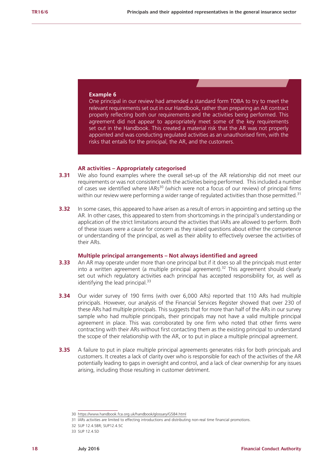### **Example 6**

One principal in our review had amended a standard form TOBA to try to meet the relevant requirements set out in our Handbook, rather than preparing an AR contract properly reflecting both our requirements and the activities being performed. This agreement did not appear to appropriately meet some of the key requirements set out in the Handbook. This created a material risk that the AR was not properly appointed and was conducting regulated activities as an unauthorised firm, with the risks that entails for the principal, the AR, and the customers.

#### **AR activities – Appropriately categorised**

- **3.31** We also found examples where the overall set-up of the AR relationship did not meet our requirements or was not consistent with the activities being performed. This included a number of cases we identified where  $IARs<sup>30</sup>$  (which were not a focus of our review) of principal firms within our review were performing a wider range of regulated activities than those permitted. $31$
- **3.32** In some cases, this appeared to have arisen as a result of errors in appointing and setting up the AR. In other cases, this appeared to stem from shortcomings in the principal's understanding or application of the strict limitations around the activities that IARs are allowed to perform. Both of these issues were a cause for concern as they raised questions about either the competence or understanding of the principal, as well as their ability to effectively oversee the activities of their ARs.

#### **Multiple principal arrangements – Not always identified and agreed**

- **3.33** An AR may operate under more than one principal but if it does so all the principals must enter into a written agreement (a multiple principal agreement).<sup>32</sup> This agreement should clearly set out which regulatory activities each principal has accepted responsibility for, as well as identifying the lead principal. $33$
- **3.34** Our wider survey of 190 firms (with over 6,000 ARs) reported that 110 ARs had multiple principals. However, our analysis of the Financial Services Register showed that over 230 of these ARs had multiple principals. This suggests that for more than half of the ARs in our survey sample who had multiple principals, their principals may not have a valid multiple principal agreement in place. This was corroborated by one firm who noted that other firms were contracting with their ARs without first contacting them as the existing principal to understand the scope of their relationship with the AR, or to put in place a multiple principal agreement.
- **3.35** A failure to put in place multiple principal agreements generates risks for both principals and customers. It creates a lack of clarity over who is responsible for each of the activities of the AR potentially leading to gaps in oversight and control, and a lack of clear ownership for any issues arising, including those resulting in customer detriment.

<sup>30</sup> <https://www.handbook.fca.org.uk/handbook/glossary/G584.html>

<sup>31</sup> IARs activities are limited to effecting introductions and distributing non-real time financial promotions.

<sup>32</sup> SUP 12.4.5BR; SUP12.4.5C

<sup>33</sup> SUP 12.4.5D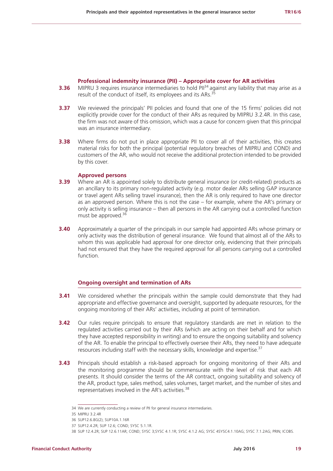### **Professional indemnity insurance (PII) – Appropriate cover for AR activities**

- **3.36** MIPRU 3 requires insurance intermediaries to hold PII<sup>34</sup> against any liability that may arise as a result of the conduct of itself, its employees and its ARs.<sup>35</sup>
- **3.37** We reviewed the principals' PII policies and found that one of the 15 firms' policies did not explicitly provide cover for the conduct of their ARs as required by MIPRU 3.2.4R. In this case, the firm was not aware of this omission, which was a cause for concern given that this principal was an insurance intermediary.
- **3.38** Where firms do not put in place appropriate PII to cover all of their activities, this creates material risks for both the principal (potential regulatory breaches of MIPRU and COND) and customers of the AR, who would not receive the additional protection intended to be provided by this cover.

#### **Approved persons**

- **3.39** Where an AR is appointed solely to distribute general insurance (or credit-related) products as an ancillary to its primary non-regulated activity (e.g. motor dealer ARs selling GAP insurance or travel agent ARs selling travel insurance), then the AR is only required to have one director as an approved person. Where this is not the case – for example, where the AR's primary or only activity is selling insurance – then all persons in the AR carrying out a controlled function must be approved.<sup>36</sup>
- **3.40** Approximately a quarter of the principals in our sample had appointed ARs whose primary or only activity was the distribution of general insurance. We found that almost all of the ARs to whom this was applicable had approval for one director only, evidencing that their principals had not ensured that they have the required approval for all persons carrying out a controlled function.

## **Ongoing oversight and termination of ARs**

- **3.41** We considered whether the principals within the sample could demonstrate that they had appropriate and effective governance and oversight, supported by adequate resources, for the ongoing monitoring of their ARs' activities, including at point of termination.
- **3.42** Our rules require principals to ensure that regulatory standards are met in relation to the regulated activities carried out by their ARs (which are acting on their behalf and for which they have accepted responsibility in writing) and to ensure the ongoing suitability and solvency of the AR. To enable the principal to effectively oversee their ARs, they need to have adequate resources including staff with the necessary skills, knowledge and expertise.<sup>37</sup>
- **3.43** Principals should establish a risk-based approach for ongoing monitoring of their ARs and the monitoring programme should be commensurate with the level of risk that each AR presents. It should consider the terms of the AR contract, ongoing suitability and solvency of the AR, product type, sales method, sales volumes, target market, and the number of sites and representatives involved in the AR's activities.<sup>38</sup>

<sup>34</sup> We are currently conducting a review of PII for general insurance intermediaries.

<sup>35</sup> MIPRU 3.2.4R

<sup>36</sup> SUP12.6.8G(2); SUP10A.1.16R

<sup>37</sup> SUP12.4.2R; SUP 12.6; COND; SYSC 5.1.1R.

<sup>38</sup> SUP 12.4.2R; SUP 12.6.11AR; COND; SYSC 3;SYSC 4.1.1R; SYSC 4.1.2 AG; SYSC 4SYSC4.1.10AG; SYSC 7.1.2AG; PRIN; ICOBS.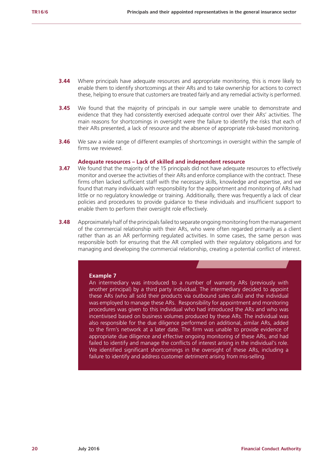- **3.44** Where principals have adequate resources and appropriate monitoring, this is more likely to enable them to identify shortcomings at their ARs and to take ownership for actions to correct these, helping to ensure that customers are treated fairly and any remedial activity is performed.
- **3.45** We found that the majority of principals in our sample were unable to demonstrate and evidence that they had consistently exercised adequate control over their ARs' activities. The main reasons for shortcomings in oversight were the failure to identify the risks that each of their ARs presented, a lack of resource and the absence of appropriate risk-based monitoring.
- **3.46** We saw a wide range of different examples of shortcomings in oversight within the sample of firms we reviewed.

#### **Adequate resources – Lack of skilled and independent resource**

- **3.47** We found that the majority of the 15 principals did not have adequate resources to effectively monitor and oversee the activities of their ARs and enforce compliance with the contract. These firms often lacked sufficient staff with the necessary skills, knowledge and expertise, and we found that many individuals with responsibility for the appointment and monitoring of ARs had little or no regulatory knowledge or training. Additionally, there was frequently a lack of clear policies and procedures to provide guidance to these individuals and insufficient support to enable them to perform their oversight role effectively.
- **3.48** Approximately half of the principals failed to separate ongoing monitoring from the management of the commercial relationship with their ARs, who were often regarded primarily as a client rather than as an AR performing regulated activities. In some cases, the same person was responsible both for ensuring that the AR complied with their regulatory obligations and for managing and developing the commercial relationship, creating a potential conflict of interest.

#### **Example 7**

An intermediary was introduced to a number of warranty ARs (previously with another principal) by a third party individual. The intermediary decided to appoint these ARs (who all sold their products via outbound sales calls) and the individual was employed to manage these ARs. Responsibility for appointment and monitoring procedures was given to this individual who had introduced the ARs and who was incentivised based on business volumes produced by these ARs. The individual was also responsible for the due diligence performed on additional, similar ARs, added to the firm's network at a later date. The firm was unable to provide evidence of appropriate due diligence and effective ongoing monitoring of these ARs, and had failed to identify and manage the conflicts of interest arising in the individual's role. We identified significant shortcomings in the oversight of these ARs, including a failure to identify and address customer detriment arising from mis-selling.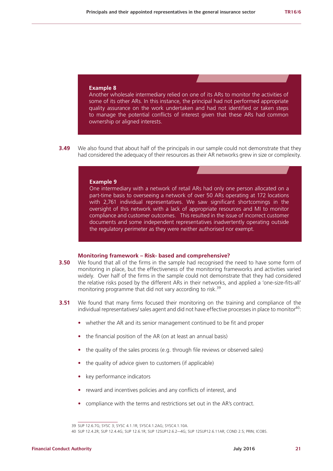#### **Example 8**

Another wholesale intermediary relied on one of its ARs to monitor the activities of some of its other ARs. In this instance, the principal had not performed appropriate quality assurance on the work undertaken and had not identified or taken steps to manage the potential conflicts of interest given that these ARs had common ownership or aligned interests.

**3.49** We also found that about half of the principals in our sample could not demonstrate that they had considered the adequacy of their resources as their AR networks grew in size or complexity.

#### **Example 9**

One intermediary with a network of retail ARs had only one person allocated on a part-time basis to overseeing a network of over 50 ARs operating at 172 locations with 2,761 individual representatives. We saw significant shortcomings in the oversight of this network with a lack of appropriate resources and MI to monitor compliance and customer outcomes. This resulted in the issue of incorrect customer documents and some independent representatives inadvertently operating outside the regulatory perimeter as they were neither authorised nor exempt.

#### **Monitoring framework – Risk- based and comprehensive?**

- **3.50** We found that all of the firms in the sample had recognised the need to have some form of monitoring in place, but the effectiveness of the monitoring frameworks and activities varied widely. Over half of the firms in the sample could not demonstrate that they had considered the relative risks posed by the different ARs in their networks, and applied a 'one-size-fits-all' monitoring programme that did not vary according to risk.<sup>39</sup>
- **3.51** We found that many firms focused their monitoring on the training and compliance of the individual representatives/ sales agent and did not have effective processes in place to monitor<sup>40</sup>:
	- **•** whether the AR and its senior management continued to be fit and proper
	- **•** the financial position of the AR (on at least an annual basis)
	- **•** the quality of the sales process (e.g. through file reviews or observed sales)
	- **•** the quality of advice given to customers (if applicable)
	- **•** key performance indicators
	- **•** reward and incentives policies and any conflicts of interest, and
	- **•** compliance with the terms and restrictions set out in the AR's contract.

<sup>39</sup> SUP 12.6.7G; SYSC 3; SYSC 4.1.1R; SYSC4.1.2AG; SYSC4.1.10A.

<sup>40</sup> SUP 12.4.2R; SUP 12.4.4G; SUP 12.6.1R; SUP 12SUP12.6.2–-4G; SUP 12SUP12.6.11AR; COND 2.5; PRIN; ICOBS.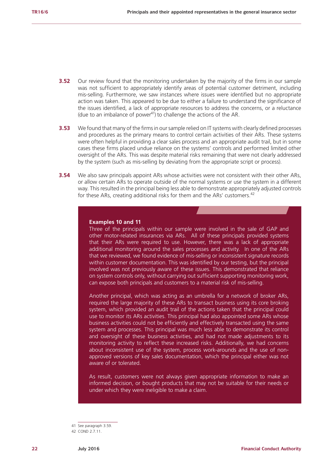- **3.52** Our review found that the monitoring undertaken by the majority of the firms in our sample was not sufficient to appropriately identify areas of potential customer detriment, including mis-selling. Furthermore, we saw instances where issues were identified but no appropriate action was taken. This appeared to be due to either a failure to understand the significance of the issues identified, a lack of appropriate resources to address the concerns, or a reluctance (due to an imbalance of power<sup>41</sup>) to challenge the actions of the AR.
- **3.53** We found that many of the firms in our sample relied on IT systems with clearly defined processes and procedures as the primary means to control certain activities of their ARs. These systems were often helpful in providing a clear sales process and an appropriate audit trail, but in some cases these firms placed undue reliance on the systems' controls and performed limited other oversight of the ARs. This was despite material risks remaining that were not clearly addressed by the system (such as mis-selling by deviating from the appropriate script or process).
- **3.54** We also saw principals appoint ARs whose activities were not consistent with their other ARs. or allow certain ARs to operate outside of the normal systems or use the system in a different way. This resulted in the principal being less able to demonstrate appropriately adjusted controls for these ARs, creating additional risks for them and the ARs' customers.<sup>42</sup>

#### **Examples 10 and 11**

Three of the principals within our sample were involved in the sale of GAP and other motor-related insurances via ARs. All of these principals provided systems that their ARs were required to use. However, there was a lack of appropriate additional monitoring around the sales processes and activity. In one of the ARs that we reviewed, we found evidence of mis-selling or inconsistent signature records within customer documentation. This was identified by our testing, but the principal involved was not previously aware of these issues. This demonstrated that reliance on system controls only, without carrying out sufficient supporting monitoring work, can expose both principals and customers to a material risk of mis-selling.

Another principal, which was acting as an umbrella for a network of broker ARs, required the large majority of these ARs to transact business using its core broking system, which provided an audit trail of the actions taken that the principal could use to monitor its ARs activities. This principal had also appointed some ARs whose business activities could not be efficiently and effectively transacted using the same system and processes. This principal was much less able to demonstrate its control and oversight of these business activities, and had not made adjustments to its monitoring activity to reflect these increased risks. Additionally, we had concerns about inconsistent use of the system, process work-arounds and the use of nonapproved versions of key sales documentation, which the principal either was not aware of or tolerated.

As result, customers were not always given appropriate information to make an informed decision, or bought products that may not be suitable for their needs or under which they were ineligible to make a claim.

<sup>41</sup> See paragraph 3.59.

<sup>42</sup> COND 2.7.11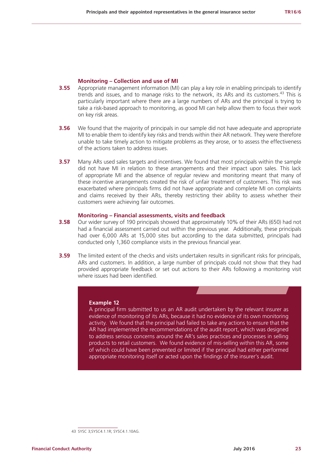### **Monitoring – Collection and use of MI**

- **3.55** Appropriate management information (MI) can play a key role in enabling principals to identify trends and issues, and to manage risks to the network, its ARs and its customers.<sup>43</sup> This is particularly important where there are a large numbers of ARs and the principal is trying to take a risk-based approach to monitoring, as good MI can help allow them to focus their work on key risk areas.
- **3.56** We found that the majority of principals in our sample did not have adequate and appropriate MI to enable them to identify key risks and trends within their AR network. They were therefore unable to take timely action to mitigate problems as they arose, or to assess the effectiveness of the actions taken to address issues.
- **3.57** Many ARs used sales targets and incentives. We found that most principals within the sample did not have MI in relation to these arrangements and their impact upon sales. This lack of appropriate MI and the absence of regular review and monitoring meant that many of these incentive arrangements created the risk of unfair treatment of customers. This risk was exacerbated where principals firms did not have appropriate and complete MI on complaints and claims received by their ARs, thereby restricting their ability to assess whether their customers were achieving fair outcomes.

#### **Monitoring – Financial assessments, visits and feedback**

- **3.58** Our wider survey of 190 principals showed that approximately 10% of their ARs (650) had not had a financial assessment carried out within the previous year. Additionally, these principals had over 6,000 ARs at 15,000 sites but according to the data submitted, principals had conducted only 1,360 compliance visits in the previous financial year.
- **3.59** The limited extent of the checks and visits undertaken results in significant risks for principals. ARs and customers. In addition, a large number of principals could not show that they had provided appropriate feedback or set out actions to their ARs following a monitoring visit where issues had been identified.

#### **Example 12**

A principal firm submitted to us an AR audit undertaken by the relevant insurer as evidence of monitoring of its ARs, because it had no evidence of its own monitoring activity. We found that the principal had failed to take any actions to ensure that the AR had implemented the recommendations of the audit report, which was designed to address serious concerns around the AR's sales practices and processes in selling products to retail customers. We found evidence of mis-selling within this AR, some of which could have been prevented or limited if the principal had either performed appropriate monitoring itself or acted upon the findings of the insurer's audit.

<sup>43</sup> SYSC 3;SYSC4.1.1R; SYSC4.1.10AG.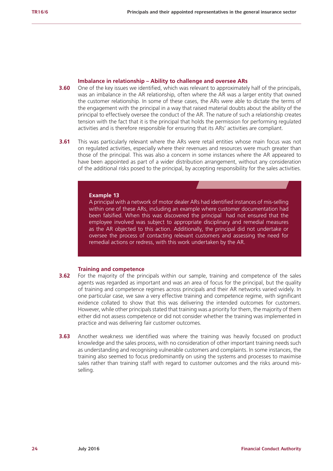#### **Imbalance in relationship – Ability to challenge and oversee ARs**

- **3.60** One of the key issues we identified, which was relevant to approximately half of the principals, was an imbalance in the AR relationship, often where the AR was a larger entity that owned the customer relationship. In some of these cases, the ARs were able to dictate the terms of the engagement with the principal in a way that raised material doubts about the ability of the principal to effectively oversee the conduct of the AR. The nature of such a relationship creates tension with the fact that it is the principal that holds the permission for performing regulated activities and is therefore responsible for ensuring that its ARs' activities are compliant.
- **3.61** This was particularly relevant where the ARs were retail entities whose main focus was not on regulated activities, especially where their revenues and resources were much greater than those of the principal. This was also a concern in some instances where the AR appeared to have been appointed as part of a wider distribution arrangement, without any consideration of the additional risks posed to the principal, by accepting responsibility for the sales activities.

#### **Example 13**

A principal with a network of motor dealer ARs had identified instances of mis-selling within one of these ARs, including an example where customer documentation had been falsified. When this was discovered the principal had not ensured that the employee involved was subject to appropriate disciplinary and remedial measures as the AR objected to this action. Additionally, the principal did not undertake or oversee the process of contacting relevant customers and assessing the need for remedial actions or redress, with this work undertaken by the AR.

## **Training and competence**

- **3.62** For the majority of the principals within our sample, training and competence of the sales agents was regarded as important and was an area of focus for the principal, but the quality of training and competence regimes across principals and their AR networks varied widely. In one particular case, we saw a very effective training and competence regime, with significant evidence collated to show that this was delivering the intended outcomes for customers. However, while other principals stated that training was a priority for them, the majority of them either did not assess competence or did not consider whether the training was implemented in practice and was delivering fair customer outcomes.
- **3.63** Another weakness we identified was where the training was heavily focused on product knowledge and the sales process, with no consideration of other important training needs such as understanding and recognising vulnerable customers and complaints. In some instances, the training also seemed to focus predominantly on using the systems and processes to maximise sales rather than training staff with regard to customer outcomes and the risks around misselling.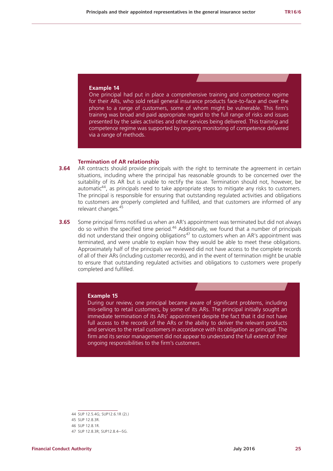#### **Example 14**

One principal had put in place a comprehensive training and competence regime for their ARs, who sold retail general insurance products face-to-face and over the phone to a range of customers, some of whom might be vulnerable. This firm's training was broad and paid appropriate regard to the full range of risks and issues presented by the sales activities and other services being delivered. This training and competence regime was supported by ongoing monitoring of competence delivered via a range of methods.

#### **Termination of AR relationship**

- **3.64** AR contracts should provide principals with the right to terminate the agreement in certain situations, including where the principal has reasonable grounds to be concerned over the suitability of its AR but is unable to rectify the issue. Termination should not, however, be automatic<sup>44</sup>, as principals need to take appropriate steps to mitigate any risks to customers. The principal is responsible for ensuring that outstanding regulated activities and obligations to customers are properly completed and fulfilled, and that customers are informed of any relevant changes.<sup>45</sup>
- **3.65** Some principal firms notified us when an AR's appointment was terminated but did not always do so within the specified time period.46 Additionally, we found that a number of principals did not understand their ongoing obligations<sup>47</sup> to customers when an AR's appointment was terminated, and were unable to explain how they would be able to meet these obligations. Approximately half of the principals we reviewed did not have access to the complete records of all of their ARs (including customer records), and in the event of termination might be unable to ensure that outstanding regulated activities and obligations to customers were properly completed and fulfilled.

#### **Example 15**

During our review, one principal became aware of significant problems, including mis-selling to retail customers, by some of its ARs. The principal initially sought an immediate termination of its ARs' appointment despite the fact that it did not have full access to the records of the ARs or the ability to deliver the relevant products and services to the retail customers in accordance with its obligation as principal. The firm and its senior management did not appear to understand the full extent of their ongoing responsibilities to the firm's customers.

<sup>44</sup> SUP 12.5.4G; SUP12.6.1R (2).)

<sup>45</sup> SUP 12.8.3R.

<sup>46</sup> SUP 12.8.1R.

<sup>47</sup> SUP 12.8.3R; SUP12.8.4–-5G.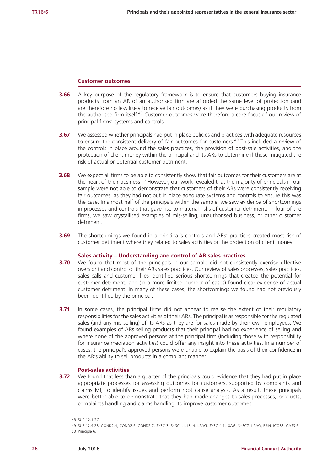#### **Customer outcomes**

- **3.66** A key purpose of the regulatory framework is to ensure that customers buying insurance products from an AR of an authorised firm are afforded the same level of protection (and are therefore no less likely to receive fair outcomes) as if they were purchasing products from the authorised firm itself.<sup>48</sup> Customer outcomes were therefore a core focus of our review of principal firms' systems and controls.
- **3.67** We assessed whether principals had put in place policies and practices with adequate resources to ensure the consistent delivery of fair outcomes for customers.<sup>49</sup> This included a review of the controls in place around the sales practices, the provision of post-sale activities, and the protection of client money within the principal and its ARs to determine if these mitigated the risk of actual or potential customer detriment.
- **3.68** We expect all firms to be able to consistently show that fair outcomes for their customers are at the heart of their business.<sup>50</sup> However, our work revealed that the majority of principals in our sample were not able to demonstrate that customers of their ARs were consistently receiving fair outcomes, as they had not put in place adequate systems and controls to ensure this was the case. In almost half of the principals within the sample, we saw evidence of shortcomings in processes and controls that gave rise to material risks of customer detriment. In four of the firms, we saw crystallised examples of mis-selling, unauthorised business, or other customer detriment.
- **3.69** The shortcomings we found in a principal's controls and ARs' practices created most risk of customer detriment where they related to sales activities or the protection of client money.

#### **Sales activity – Understanding and control of AR sales practices**

- **3.70** We found that most of the principals in our sample did not consistently exercise effective oversight and control of their ARs sales practices. Our review of sales processes, sales practices, sales calls and customer files identified serious shortcomings that created the potential for customer detriment, and (in a more limited number of cases) found clear evidence of actual customer detriment. In many of these cases, the shortcomings we found had not previously been identified by the principal.
- **3.71** In some cases, the principal firms did not appear to realise the extent of their regulatory responsibilities for the sales activities of their ARs. The principal is as responsible for the regulated sales (and any mis-selling) of its ARs as they are for sales made by their own employees. We found examples of ARs selling products that their principal had no experience of selling and where none of the approved persons at the principal firm (including those with responsibility for insurance mediation activities) could offer any insight into these activities. In a number of cases, the principal's approved persons were unable to explain the basis of their confidence in the AR's ability to sell products in a compliant manner.

## **Post-sales activities**

**3.72** We found that less than a quarter of the principals could evidence that they had put in place appropriate processes for assessing outcomes for customers, supported by complaints and claims MI, to identify issues and perform root cause analysis. As a result, these principals were better able to demonstrate that they had made changes to sales processes, products, complaints handling and claims handling, to improve customer outcomes.

<sup>48</sup> SUP 12.1.3G.

<sup>49</sup> SUP 12.4.2R; COND2.4; COND2.5; COND2.7; SYSC 3; SYSC4.1.1R; 4.1.2AG; SYSC 4.1.10AG; SYSC7.1.2AG; PRIN; ICOBS; CASS 5. 50 Principle 6.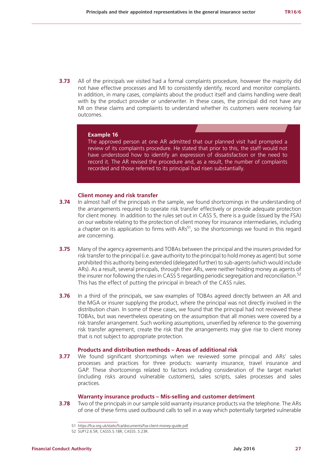**3.73** All of the principals we visited had a formal complaints procedure, however the majority did not have effective processes and MI to consistently identify, record and monitor complaints. In addition, in many cases, complaints about the product itself and claims handling were dealt with by the product provider or underwriter. In these cases, the principal did not have any MI on these claims and complaints to understand whether its customers were receiving fair outcomes.

#### **Example 16**

The approved person at one AR admitted that our planned visit had prompted a review of its complaints procedure. He stated that prior to this, the staff would not have understood how to identify an expression of dissatisfaction or the need to record it. The AR revised the procedure and, as a result, the number of complaints recorded and those referred to its principal had risen substantially.

## **Client money and risk transfer**

- **3.74** In almost half of the principals in the sample, we found shortcomings in the understanding of the arrangements required to operate risk transfer effectively or provide adequate protection for client money. In addition to the rules set out in CASS 5, there is a guide (issued by the FSA) on our website relating to the protection of client money for insurance intermediaries, including a chapter on its application to firms with ARs<sup>51</sup>, so the shortcomings we found in this regard are concerning.
- **3.75** Many of the agency agreements and TOBAs between the principal and the insurers provided for risk transfer to the principal (i.e. gave authority to the principal to hold money as agent) but some prohibited this authority being extended (delegated further) to sub-agents (which would include ARs). As a result, several principals, through their ARs, were neither holding money as agents of the insurer nor following the rules in CASS 5 regarding periodic segregation and reconciliation.<sup>52</sup> This has the effect of putting the principal in breach of the CASS rules.
- **3.76** In a third of the principals, we saw examples of TOBAs agreed directly between an AR and the MGA or insurer supplying the product, where the principal was not directly involved in the distribution chain. In some of these cases, we found that the principal had not reviewed these TOBAs, but was nevertheless operating on the assumption that all monies were covered by a risk transfer arrangement. Such working assumptions, unverified by reference to the governing risk transfer agreement, create the risk that the arrangements may give rise to client money that is not subject to appropriate protection.

#### **Products and distribution methods – Areas of additional risk**

**3.77** We found significant shortcomings when we reviewed some principal and ARs' sales processes and practices for three products: warranty insurance, travel insurance and GAP. These shortcomings related to factors including consideration of the target market (including risks around vulnerable customers), sales scripts, sales processes and sales practices.

### **Warranty insurance products – Mis-selling and customer detriment**

**3.78** Two of the principals in our sample sold warranty insurance products via the telephone. The ARs of one of these firms used outbound calls to sell in a way which potentially targeted vulnerable

<sup>51</sup> <https://fca.org.uk/static/fca/documents/fsa-client-money-guide.pdf>

<sup>52</sup> SUP12.6.5R; CASS5.5.18R; CASS5..5.23R.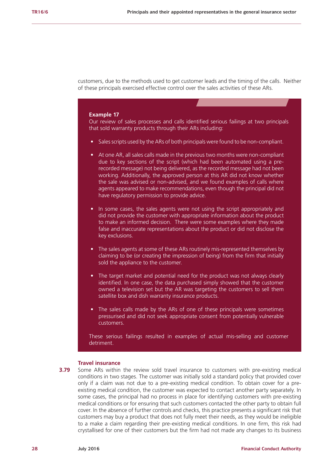customers, due to the methods used to get customer leads and the timing of the calls. Neither of these principals exercised effective control over the sales activities of these ARs.

#### **Example 17**

Our review of sales processes and calls identified serious failings at two principals that sold warranty products through their ARs including:

- Sales scripts used by the ARs of both principals were found to be non-compliant.
- At one AR, all sales calls made in the previous two months were non-compliant due to key sections of the script (which had been automated using a prerecorded message) not being delivered, as the recorded message had not been working. Additionally, the approved person at this AR did not know whether the sale was advised or non-advised, and we found examples of calls where agents appeared to make recommendations, even though the principal did not have regulatory permission to provide advice.
- In some cases, the sales agents were not using the script appropriately and did not provide the customer with appropriate information about the product to make an informed decision. There were some examples where they made false and inaccurate representations about the product or did not disclose the key exclusions.
- The sales agents at some of these ARs routinely mis-represented themselves by claiming to be (or creating the impression of being) from the firm that initially sold the appliance to the customer.
- The target market and potential need for the product was not always clearly identified. In one case, the data purchased simply showed that the customer owned a television set but the AR was targeting the customers to sell them satellite box and dish warranty insurance products.
- The sales calls made by the ARs of one of these principals were sometimes pressurised and did not seek appropriate consent from potentially vulnerable customers.

These serious failings resulted in examples of actual mis-selling and customer detriment.

## **Travel insurance**

**3.79** Some ARs within the review sold travel insurance to customers with pre-existing medical conditions in two stages. The customer was initially sold a standard policy that provided cover only if a claim was not due to a pre-existing medical condition. To obtain cover for a preexisting medical condition, the customer was expected to contact another party separately. In some cases, the principal had no process in place for identifying customers with pre-existing medical conditions or for ensuring that such customers contacted the other party to obtain full cover. In the absence of further controls and checks, this practice presents a significant risk that customers may buy a product that does not fully meet their needs, as they would be ineligible to a make a claim regarding their pre-existing medical conditions. In one firm, this risk had crystallised for one of their customers but the firm had not made any changes to its business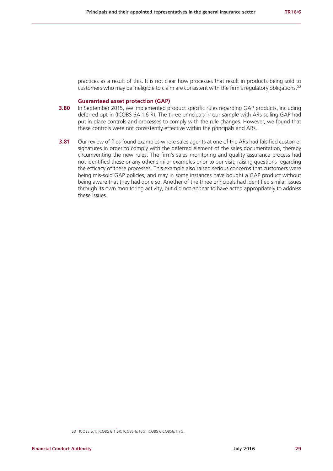practices as a result of this. It is not clear how processes that result in products being sold to customers who may be ineligible to claim are consistent with the firm's regulatory obligations.<sup>53</sup>

#### **Guaranteed asset protection (GAP)**

- **3.80** In September 2015, we implemented product specific rules regarding GAP products, including deferred opt-in (ICOBS 6A.1.6 R). The three principals in our sample with ARs selling GAP had put in place controls and processes to comply with the rule changes. However, we found that these controls were not consistently effective within the principals and ARs.
- **3.81** Our review of files found examples where sales agents at one of the ARs had falsified customer signatures in order to comply with the deferred element of the sales documentation, thereby circumventing the new rules. The firm's sales monitoring and quality assurance process had not identified these or any other similar examples prior to our visit, raising questions regarding the efficacy of these processes. This example also raised serious concerns that customers were being mis-sold GAP policies, and may in some instances have bought a GAP product without being aware that they had done so. Another of the three principals had identified similar issues through its own monitoring activity, but did not appear to have acted appropriately to address these issues.

<sup>53</sup> ICOBS 5.1; ICOBS 6.1.5R; ICOBS 6.16G; ICOBS 6ICOBS6.1.7G.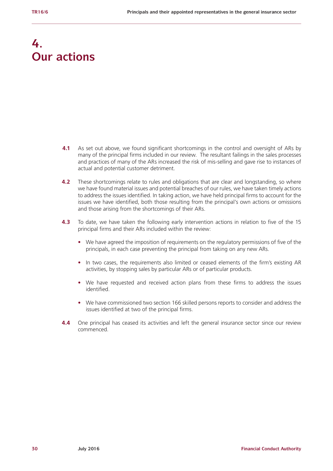## **4. Our actions**

- **4.1** As set out above, we found significant shortcomings in the control and oversight of ARs by many of the principal firms included in our review. The resultant failings in the sales processes and practices of many of the ARs increased the risk of mis-selling and gave rise to instances of actual and potential customer detriment.
- **4.2** These shortcomings relate to rules and obligations that are clear and longstanding, so where we have found material issues and potential breaches of our rules, we have taken timely actions to address the issues identified. In taking action, we have held principal firms to account for the issues we have identified, both those resulting from the principal's own actions or omissions and those arising from the shortcomings of their ARs.
- **4.3** To date, we have taken the following early intervention actions in relation to five of the 15 principal firms and their ARs included within the review:
	- We have agreed the imposition of requirements on the regulatory permissions of five of the principals, in each case preventing the principal from taking on any new ARs.
	- **•** In two cases, the requirements also limited or ceased elements of the firm's existing AR activities, by stopping sales by particular ARs or of particular products.
	- **•** We have requested and received action plans from these firms to address the issues identified.
	- **•** We have commissioned two section 166 skilled persons reports to consider and address the issues identified at two of the principal firms.
- **4.4** One principal has ceased its activities and left the general insurance sector since our review commenced.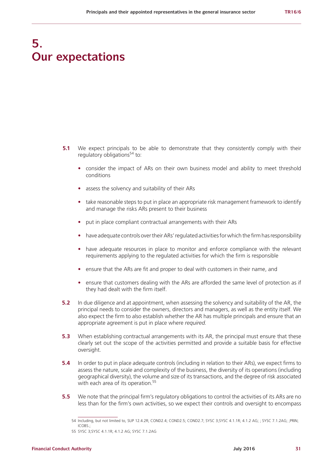## **5. Our expectations**

- **5.1** We expect principals to be able to demonstrate that they consistently comply with their regulatory obligations $54$  to:
	- **•** consider the impact of ARs on their own business model and ability to meet threshold conditions
	- **•** assess the solvency and suitability of their ARs
	- **•** take reasonable steps to put in place an appropriate risk management framework to identify and manage the risks ARs present to their business
	- **•** put in place compliant contractual arrangements with their ARs
	- **•** have adequate controls over their ARs' regulated activities for which the firm has responsibility
	- **•** have adequate resources in place to monitor and enforce compliance with the relevant requirements applying to the regulated activities for which the firm is responsible
	- **•** ensure that the ARs are fit and proper to deal with customers in their name, and
	- **•** ensure that customers dealing with the ARs are afforded the same level of protection as if they had dealt with the firm itself.
- **5.2** In due diligence and at appointment, when assessing the solvency and suitability of the AR, the principal needs to consider the owners, directors and managers, as well as the entity itself. We also expect the firm to also establish whether the AR has multiple principals and ensure that an appropriate agreement is put in place where *required.*
- **5.3** When establishing contractual arrangements with its AR, the principal must ensure that these clearly set out the scope of the activities permitted and provide a suitable basis for effective oversight.
- **5.4** In order to put in place adequate controls (including in relation to their ARs), we expect firms to assess the nature, scale and complexity of the business, the diversity of its operations (including geographical diversity), the volume and size of its transactions, and the degree of risk associated with each area of its operation.<sup>55</sup>
- **5.5** We note that the principal firm's regulatory obligations to control the activities of its ARs are no less than for the firm's own activities, so we expect their controls and oversight to encompass

<sup>54</sup> Including, but not limited to, SUP 12.4.2R; COND2.4; COND2.5; COND2.7; SYSC 3;SYSC 4.1.1R; 4.1.2 AG; ; SYSC 7.1.2AG; ;PRIN;  $ICORS$ 

<sup>55</sup> SYSC 3;SYSC 4.1.1R; 4.1.2 AG; SYSC 7.1.2AG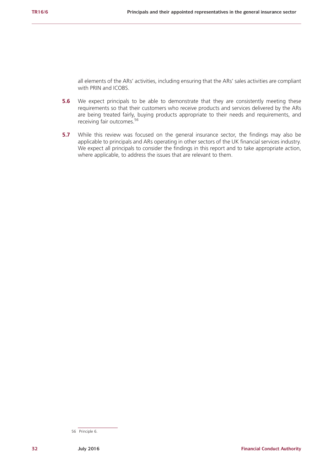all elements of the ARs' activities, including ensuring that the ARs' sales activities are compliant with PRIN and ICOBS.

- **5.6** We expect principals to be able to demonstrate that they are consistently meeting these requirements so that their customers who receive products and services delivered by the ARs are being treated fairly, buying products appropriate to their needs and requirements, and receiving fair outcomes.56
- **5.7** While this review was focused on the general insurance sector, the findings may also be applicable to principals and ARs operating in other sectors of the UK financial services industry. We expect all principals to consider the findings in this report and to take appropriate action, where applicable, to address the issues that are relevant to them.

<sup>56</sup> Principle 6.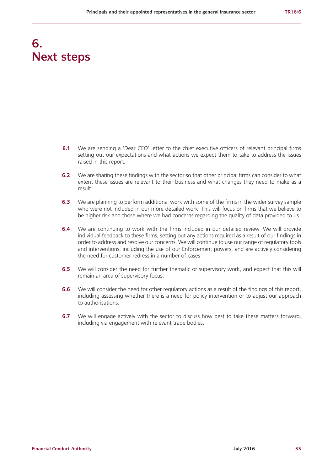## **6. Next steps**

- **6.1** We are sending a 'Dear CEO' letter to the chief executive officers of relevant principal firms setting out our expectations and what actions we expect them to take to address the issues raised in this report.
- **6.2** We are sharing these findings with the sector so that other principal firms can consider to what extent these issues are relevant to their business and what changes they need to make as a result.
- **6.3** We are planning to perform additional work with some of the firms in the wider survey sample who were not included in our more detailed work. This will focus on firms that we believe to be higher risk and those where we had concerns regarding the quality of data provided to us.
- **6.4** We are continuing to work with the firms included in our detailed review. We will provide individual feedback to these firms, setting out any actions required as a result of our findings in order to address and resolve our concerns. We will continue to use our range of regulatory tools and interventions, including the use of our Enforcement powers, and are actively considering the need for customer redress in a number of cases.
- **6.5** We will consider the need for further thematic or supervisory work, and expect that this will remain an area of supervisory focus.
- **6.6** We will consider the need for other regulatory actions as a result of the findings of this report, including assessing whether there is a need for policy intervention or to adjust our approach to authorisations.
- **6.7** We will engage actively with the sector to discuss how best to take these matters forward, including via engagement with relevant trade bodies.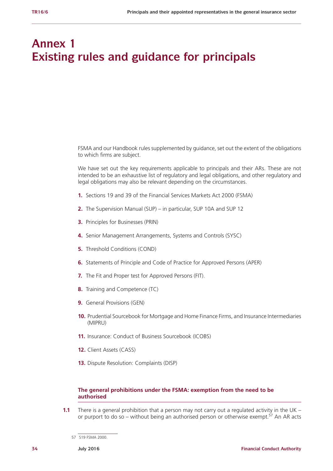## **Annex 1 Existing rules and guidance for principals**

FSMA and our Handbook rules supplemented by guidance, set out the extent of the obligations to which firms are subject.

We have set out the key requirements applicable to principals and their ARs. These are not intended to be an exhaustive list of regulatory and legal obligations, and other regulatory and legal obligations may also be relevant depending on the circumstances.

- **1.** Sections 19 and 39 of the Financial Services Markets Act 2000 (FSMA)
- **2.** The Supervision Manual (SUP) in particular, SUP 10A and SUP 12
- **3.** Principles for Businesses (PRIN)
- **4.** Senior Management Arrangements, Systems and Controls (SYSC)
- **5.** Threshold Conditions (COND)
- **6.** Statements of Principle and Code of Practice for Approved Persons (APER)
- **7.** The Fit and Proper test for Approved Persons (FIT).
- **8.** Training and Competence (TC)
- **9.** General Provisions (GEN)
- **10.** Prudential Sourcebook for Mortgage and Home Finance Firms, and Insurance Intermediaries (MIPRU)
- **11.** Insurance: Conduct of Business Sourcebook (ICOBS)
- **12.** Client Assets (CASS)
- **13.** Dispute Resolution: Complaints (DISP)

## **The general prohibitions under the FSMA: exemption from the need to be authorised**

**1.1** There is a general prohibition that a person may not carry out a regulated activity in the UK – or purport to do so – without being an authorised person or otherwise exempt.<sup>57</sup> An AR acts

<sup>57</sup> S19 FSMA 2000.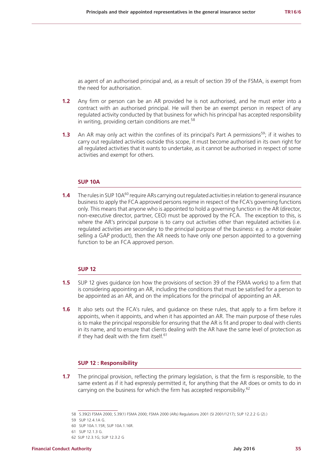as agent of an authorised principal and, as a result of section 39 of the FSMA, is exempt from the need for authorisation.

- **1.2** Any firm or person can be an AR provided he is not authorised, and he must enter into a contract with an authorised principal. He will then be an exempt person in respect of any regulated activity conducted by that business for which his principal has accepted responsibility in writing, providing certain conditions are met.<sup>58</sup>
- **1.3** An AR may only act within the confines of its principal's Part A permissions<sup>59</sup>; if it wishes to carry out regulated activities outside this scope, it must become authorised in its own right for all regulated activities that it wants to undertake, as it cannot be authorised in respect of some activities and exempt for others.

## **SUP 10A**

**1.4** The rules in SUP 10A<sup>60</sup> require ARs carrying out regulated activities in relation to general insurance business to apply the FCA approved persons regime in respect of the FCA's governing functions only. This means that anyone who is appointed to hold a governing function in the AR (director, non-executive director, partner, CEO) must be approved by the FCA. The exception to this, is where the AR's principal purpose is to carry out activities other than regulated activities (i.e. regulated activities are secondary to the principal purpose of the business: e.g. a motor dealer selling a GAP product), then the AR needs to have only one person appointed to a governing function to be an FCA approved person.

## **SUP 12**

- **1.5** SUP 12 gives guidance (on how the provisions of section 39 of the FSMA works) to a firm that is considering appointing an AR, including the conditions that must be satisfied for a person to be appointed as an AR, and on the implications for the principal of appointing an AR.
- **1.6** It also sets out the FCA's rules, and quidance on these rules, that apply to a firm before it appoints, when it appoints, and when it has appointed an AR. The main purpose of these rules is to make the principal responsible for ensuring that the AR is fit and proper to deal with clients in its name, and to ensure that clients dealing with the AR have the same level of protection as if they had dealt with the firm itself.<sup>61</sup>

## **SUP 12 : Responsibility**

**1.7** The principal provision, reflecting the primary legislation, is that the firm is responsible, to the same extent as if it had expressly permitted it, for anything that the AR does or omits to do in carrying on the business for which the firm has accepted responsibility.<sup>62</sup>

<sup>58</sup> S.39(2) FSMA 2000; S.39(1) FSMA 2000; FSMA 2000 (ARs) Regulations 2001 (SI 2001/1217); SUP 12.2.2 G (2).)

<sup>59</sup> SUP 12.4.1A G.

<sup>60</sup> SUP 10A.1.15R; SUP 10A.1.16R.

<sup>61</sup> SUP 12.1.3 G.

<sup>62</sup> SUP 12.3.1G; SUP 12.3.2 G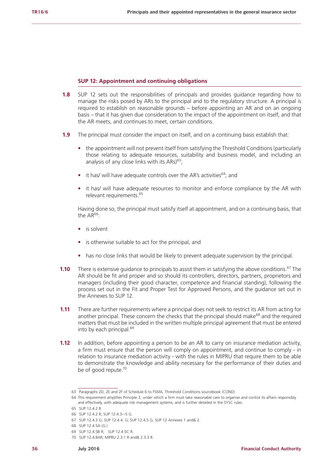## **SUP 12: Appointment and continuing obligations**

- **1.8** SUP 12 sets out the responsibilities of principals and provides guidance regarding how to manage the risks posed by ARs to the principal and to the regulatory structure. A principal is required to establish on reasonable grounds – before appointing an AR and on an ongoing basis – that it has given due consideration to the impact of the appointment on itself, and that the AR meets, and continues to meet, certain conditions.
- **1.9** The principal must consider the impact on itself, and on a continuing basis establish that:
	- the appointment will not prevent itself from satisfying the Threshold Conditions (particularly those relating to adequate resources, suitability and business model, and including an analysis of any close links with its  $ARs$ <sup>63</sup>;
	- it has/ will have adequate controls over the AR's activities<sup>64</sup>; and
	- **•** it has/ will have adequate resources to monitor and enforce compliance by the AR with relevant requirements.<sup>65</sup>

Having done so, the principal must satisfy itself at appointment, and on a continuing basis, that the  $AR^{66}$ :

- **•** is solvent
- **•** is otherwise suitable to act for the principal, and
- has no close links that would be likely to prevent adequate supervision by the principal.
- **1.10** There is extensive guidance to principals to assist them in satisfying the above conditions.<sup>67</sup> The AR should be fit and proper and so should its controllers, directors, partners, proprietors and managers (including their good character, competence and financial standing), following the process set out in the Fit and Proper Test for Approved Persons, and the guidance set out in the Annexes to SUP 12.
- **1.11** There are further requirements where a principal does not seek to restrict its AR from acting for another principal. These concern the checks that the principal should make<sup>68</sup> and the required matters that must be included in the written multiple principal agreement that must be entered into by each principal.<sup>69</sup>
- **1.12** In addition, before appointing a person to be an AR to carry on insurance mediation activity, a firm must ensure that the person will comply on appointment, and continue to comply - in relation to insurance mediation activity - with the rules in MIPRU that require them to be able to demonstrate the knowledge and ability necessary for the performance of their duties and be of good repute.<sup>70</sup>

<sup>63</sup> Paragraphs 2D, 2E and 2F of Schedule 6 to FSMA, Threshold Conditions sourcebook (COND)

<sup>64</sup> This requirement amplifies Principle 3, under which a firm must take reasonable care to organise and control its affairs responsibly and effectively, with adequate risk management systems, and is further detailed in the SYSC rules.

<sup>65</sup> SUP 12.4.2 R

<sup>66</sup> SUP 12.4.2 R; SUP 12.4.3–-5 G.

<sup>67</sup> SUP 12.4.3 G; SUP 12.4.4. G; SUP 12.4.5 G; SUP 12 Annexes 1 and& 2.

<sup>68</sup> SUP 12.4.5A (G.)

<sup>69</sup> SUP 12.4.5B R; SUP 12.4.5C R.

<sup>70</sup> SUP 12.4.8AR; MIPRU 2.3.1 R and& 2.3.3 R.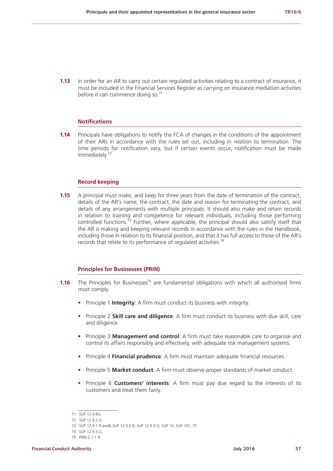**1.13** In order for an AR to carry out certain regulated activities relating to a contract of insurance, it must be included in the Financial Services Register as carrying on insurance mediation activities before it can commence doing so.<sup>71</sup>

#### **Notifications**

**1.14** Principals have obligations to notify the FCA of changes in the conditions of the appointment of their ARs in accordance with the rules set out, including in relation to termination. The time periods for notification vary, but if certain events occur, notification must be made immediately.<sup>72</sup>

#### **Record keeping**

**1.15** A principal must make, and keep for three years from the date of termination of the contract, details of the AR's name, the contract, the date and reason for terminating the contract, and details of any arrangements with multiple principals. It should also make and retain records in relation to training and competence for relevant individuals, including those performing controlled functions.<sup> $73$ </sup> Further, where applicable, the principal should also satisfy itself that the AR is making and keeping relevant records in accordance with the rules in the Handbook, including those in relation to its financial position, and that it has full access to those of the AR's records that relate to its performance of regulated activities.74

#### **Principles for Businesses (PRIN)**

- **1.16** The Principles for Businesses<sup>75</sup> are fundamental obligations with which all authorised firms must comply.
	- **•** Principle 1 **Integrity**: [A firm](https://www.handbook.fca.org.uk/handbook/glossary/G430.html) must conduct its business with integrity.
	- **•** Principle 2 **Skill care and diligence**: A firm must conduct its business with due skill, care and diligence.
	- **•** Principle 3 **Management and control**: A firm must take reasonable care to organise and control its affairs responsibly and effectively, with adequate risk management systems.
	- **•** Principle 4 **Financial prudence**: A firm must maintain adequate financial resources.
	- **•** Principle 5 **Market conduct**: A [firm](https://www.handbook.fca.org.uk/handbook/glossary/G430.html) must observe proper standards of market conduct.
	- **•** Principle 6 **Customers' interests**: A firm must pay due regard to the interests of its customers and treat them fairly.

<sup>71</sup> SUP 12.4.9G.

<sup>72</sup> SUP 12.8.2 G.

<sup>73</sup> SUP 12.9.1 R and& SUP 12.9.2 R; SUP 12.9.4 G; SUP 10; SUP 10C; TC.

<sup>74</sup> SUP 12.9.3 G.

<sup>75</sup> PRIN 2.1.1 R.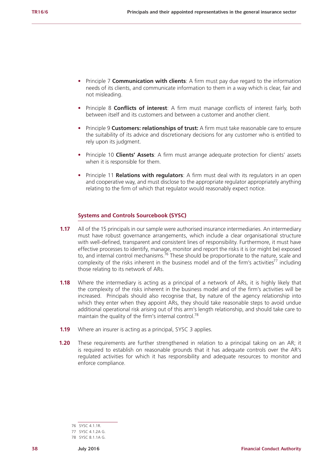- **•** Principle 7 **Communication with clients**: A [firm](https://www.handbook.fca.org.uk/handbook/glossary/G430.html) must pay due regard to the information needs of its [clients,](https://www.handbook.fca.org.uk/handbook/glossary/G156.html) and communicate information to them in a way which is clear, fair and not misleading.
- **•** Principle 8 **Conflicts of interest**: A [firm](https://www.handbook.fca.org.uk/handbook/glossary/G430.html) must manage conflicts of interest fairly, both between itself and its [customers](https://www.handbook.fca.org.uk/handbook/glossary/G252.html) and between a [customer](https://www.handbook.fca.org.uk/handbook/glossary/G252.html) and another [client](https://www.handbook.fca.org.uk/handbook/glossary/G156.html).
- **•** Principle 9 **Customers: relationships of trust:** A [firm](https://www.handbook.fca.org.uk/handbook/glossary/G430.html) must take reasonable care to ensure the suitability of its advice and discretionary decisions for any [customer](https://www.handbook.fca.org.uk/handbook/glossary/G252.html) who is entitled to rely upon its judgment.
- **•** Principle 10 **Clients' Assets**: A firm must arrange adequate protection for clients' assets when it is responsible for them.
- **•** Principle 11 **Relations with regulators**: [A firm](https://www.handbook.fca.org.uk/handbook/glossary/G430.html) must deal with its regulators in an open and cooperative way, and must disclose to the [appropriate regulator](https://www.handbook.fca.org.uk/handbook/glossary/G2972.html) appropriately anything relating to the [firm](https://www.handbook.fca.org.uk/handbook/glossary/G430.html) of which that regulator would reasonably expect notice.

## **Systems and Controls Sourcebook (SYSC)**

- **1.17** All of the 15 principals in our sample were authorised insurance intermediaries. An intermediary must have robust governance arrangements, which include a clear organisational structure with well-defined, transparent and consistent lines of responsibility. Furthermore, it must have effective processes to identify, manage, monitor and report the risks it is (or might be) exposed to, and internal control mechanisms.<sup>76</sup> These should be proportionate to the nature, scale and complexity of the risks inherent in the business model and of the firm's activities<sup>77</sup> including those relating to its network of ARs.
- **1.18** Where the intermediary is acting as a principal of a network of ARs, it is highly likely that the complexity of the risks inherent in the business model and of the firm's activities will be increased. Principals should also recognise that, by nature of the agency relationship into which they enter when they appoint ARs, they should take reasonable steps to avoid undue additional operational risk arising out of this arm's length relationship, and should take care to maintain the quality of the firm's internal control.<sup>78</sup>
- **1.19** Where an insurer is acting as a principal, SYSC 3 applies.
- **1.20** These requirements are further strengthened in relation to a principal taking on an AR; it is required to establish on reasonable grounds that it has adequate controls over the AR's regulated activities for which it has responsibility and adequate resources to monitor and enforce compliance.

<sup>76</sup> SYSC 4.1.1R.

<sup>77</sup> SYSC 4.1.2A G.

<sup>78</sup> SYSC 8.1.1A G.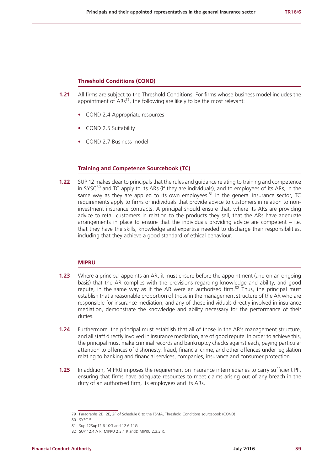## **Threshold Conditions (COND)**

- **1.21** All firms are subject to the Threshold Conditions. For firms whose business model includes the appointment of  $ARs^{79}$ , the following are likely to be the most relevant:
	- **•** COND 2.4 Appropriate resources
	- **•** COND 2.5 Suitability
	- **•** COND 2.7 Business model

## **Training and Competence Sourcebook (TC)**

**1.22** SUP 12 makes clear to principals that the rules and guidance relating to training and competence in SYSC $^{80}$  and TC apply to its ARs (if they are individuals), and to employees of its ARs, in the same way as they are applied to its own employees. $81$  In the general insurance sector, TC requirements apply to firms or individuals that provide advice to customers in relation to noninvestment insurance contracts. A principal should ensure that, where its ARs are providing advice to retail customers in relation to the products they sell, that the ARs have adequate arrangements in place to ensure that the individuals providing advice are competent  $-$  i.e. that they have the skills, knowledge and expertise needed to discharge their responsibilities, including that they achieve a good standard of ethical behaviour.

## **MIPRU**

- **1.23** Where a principal appoints an AR, it must ensure before the appointment (and on an ongoing basis) that the AR complies with the provisions regarding knowledge and ability, and good repute, in the same way as if the AR were an authorised firm. $82$  Thus, the principal must establish that a reasonable proportion of those in the management structure of the AR who are responsible for insurance mediation, and any of those individuals directly involved in insurance mediation, demonstrate the knowledge and ability necessary for the performance of their duties.
- **1.24** Furthermore, the principal must establish that all of those in the AR's management structure, and all staff directly involved in insurance mediation, are of good repute. In order to achieve this, the principal must make criminal records and bankruptcy checks against each, paying particular attention to offences of dishonesty, fraud, financial crime, and other offences under legislation relating to banking and financial services, companies, insurance and consumer protection.
- **1.25** In addition, MIPRU imposes the requirement on insurance intermediaries to carry sufficient PII, ensuring that firms have adequate resources to meet claims arising out of any breach in the duty of an authorised firm, its employees and its ARs.

<sup>79</sup> Paragraphs 2D, 2E, 2F of Schedule 6 to the FSMA, Threshold Conditions sourcebook (COND)

<sup>80</sup> SYSC 5.

<sup>81</sup> Sup 12Sup12.6.10G and 12.6.11G.

<sup>82</sup> SUP 12.4.A R; MIPRU 2.3.1 R and& MIPRU 2.3.3 R.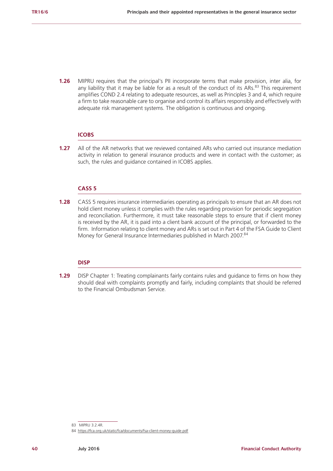**1.26** MIPRU requires that the principal's PII incorporate terms that make provision, inter alia, for any liability that it may be liable for as a result of the conduct of its ARs. $^{83}$  This requirement amplifies COND 2.4 relating to adequate resources, as well as Principles 3 and 4, which require a firm to take reasonable care to organise and control its affairs responsibly and effectively with adequate risk management systems. The obligation is continuous and ongoing.

#### **ICOBS**

**1.27** All of the AR networks that we reviewed contained ARs who carried out insurance mediation activity in relation to general insurance products and were in contact with the customer; as such, the rules and guidance contained in ICOBS applies.

## **CASS 5**

**1.28** CASS 5 requires insurance intermediaries operating as principals to ensure that an AR does not hold client money unless it complies with the rules regarding provision for periodic segregation and reconciliation. Furthermore, it must take reasonable steps to ensure that if client money is received by the AR, it is paid into a client bank account of the principal, or forwarded to the firm. Information relating to client money and ARs is set out in Part 4 of the FSA Guide to Client Money for General Insurance Intermediaries published in March 2007.<sup>84</sup>

## **DISP**

**1.29** DISP Chapter 1: Treating complainants fairly contains rules and guidance to firms on how they should deal with complaints promptly and fairly, including complaints that should be referred to the Financial Ombudsman Service.

<sup>83</sup> MIPRU 3.2.4R.

<sup>84</sup> <https://fca.org.uk/static/fca/documents/fsa-client-money-guide.pdf>